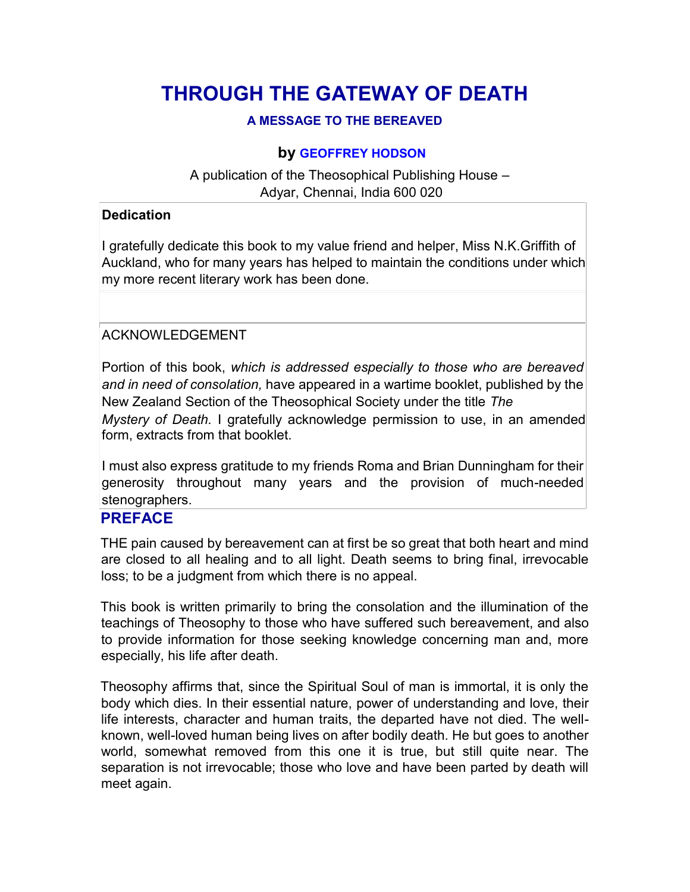# **THROUGH THE GATEWAY OF DEATH**

#### **A MESSAGE TO THE BEREAVED**

#### **by GEOFFREY HODSON**

A publication of the Theosophical Publishing House – Adyar, Chennai, India 600 020

#### **Dedication**

I gratefully dedicate this book to my value friend and helper, Miss N.K.Griffith of Auckland, who for many years has helped to maintain the conditions under which my more recent literary work has been done.

#### ACKNOWLEDGEMENT

Portion of this book, *which is addressed especially to those who are bereaved and in need of consolation,* have appeared in a wartime booklet, published by the New Zealand Section of the Theosophical Society under the title *The Mystery of Death.* I gratefully acknowledge permission to use, in an amended form, extracts from that booklet.

I must also express gratitude to my friends Roma and Brian Dunningham for their generosity throughout many years and the provision of much-needed stenographers.

## **PREFACE**

THE pain caused by bereavement can at first be so great that both heart and mind are closed to all healing and to all light. Death seems to bring final, irrevocable loss; to be a judgment from which there is no appeal.

This book is written primarily to bring the consolation and the illumination of the teachings of Theosophy to those who have suffered such bereavement, and also to provide information for those seeking knowledge concerning man and, more especially, his life after death.

Theosophy affirms that, since the Spiritual Soul of man is immortal, it is only the body which dies. In their essential nature, power of understanding and love, their life interests, character and human traits, the departed have not died. The wellknown, well-loved human being lives on after bodily death. He but goes to another world, somewhat removed from this one it is true, but still quite near. The separation is not irrevocable; those who love and have been parted by death will meet again.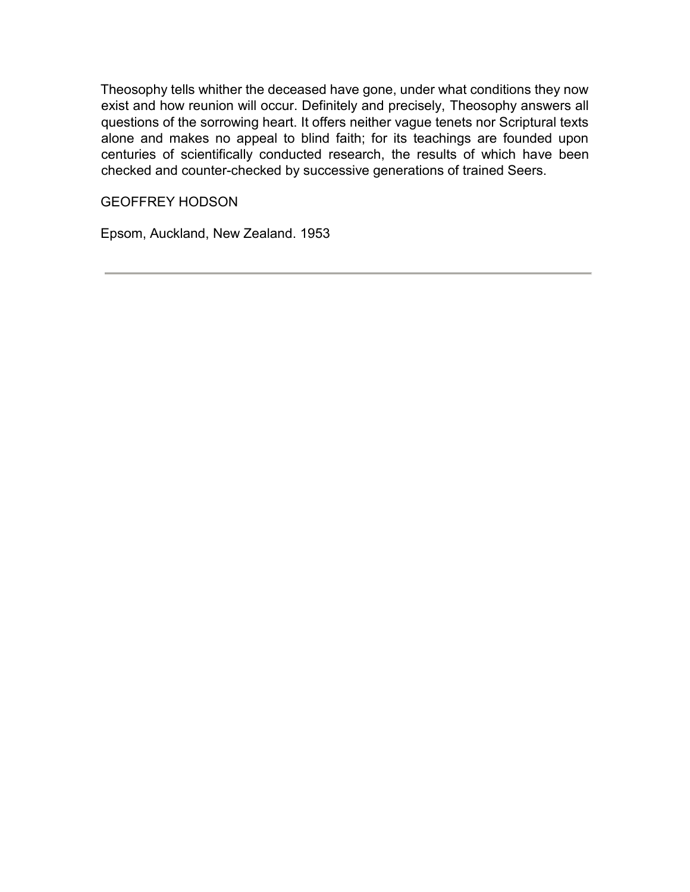Theosophy tells whither the deceased have gone, under what conditions they now exist and how reunion will occur. Definitely and precisely, Theosophy answers all questions of the sorrowing heart. It offers neither vague tenets nor Scriptural texts alone and makes no appeal to blind faith; for its teachings are founded upon centuries of scientifically conducted research, the results of which have been checked and counter-checked by successive generations of trained Seers.

GEOFFREY HODSON

Epsom, Auckland, New Zealand. 1953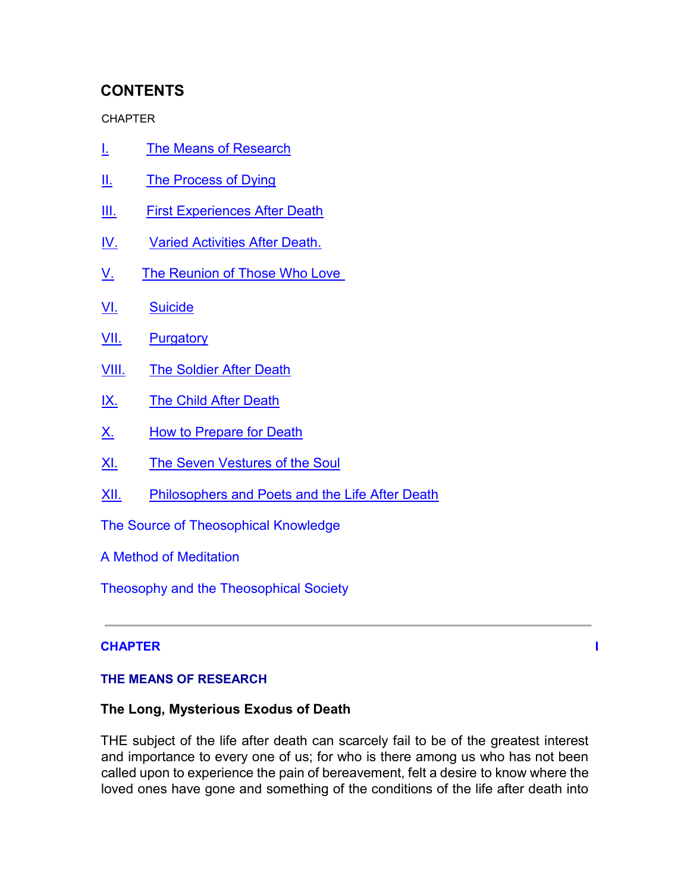## **CONTENTS**

CHAPTER

- I. The Means of Researc[h](http://www.theosophical.ca/GatewayDeath.htm#Means)
- II. The Process of Dying
- III. First Experiences After Deat[h](http://www.theosophical.ca/GatewayDeath.htm#First)
- IV. Varied Activities After Death[.](http://www.theosophical.ca/GatewayDeath.htm#Varied)
- V. [Th](http://www.theosophical.ca/GatewayDeath.htm#reunion)e [Re](http://www.theosophical.ca/GatewayDeath.htm#reunion)unio[n](http://www.theosophical.ca/GatewayDeath.htm#reunion) of Th[ose](http://www.theosophical.ca/GatewayDeath.htm#reunion) Who Love
- VI. Suicid[e](http://www.theosophical.ca/GatewayDeath.htm#suicide)
- VII. Purgator[y](http://www.theosophical.ca/GatewayDeath.htm#Purgatory)
- VIII. T[h](http://www.theosophical.ca/GatewayDeath.htm#Soldier)e Soldier After Death
- IX. The Child After Deat[h](http://www.theosophical.ca/GatewayDeath.htm#Child)
- X. How to Prepare for Deat[h](http://www.theosophical.ca/GatewayDeath.htm#Prepare)
- XI. The Seven Vestures of the Sou[l](http://www.theosophical.ca/GatewayDeath.htm#Ssseven)
- XII. Philosophers and Poets and the Life After Deat[h](http://www.theosophical.ca/GatewayDeath.htm#Philos)

The Source of Theosophical Knowledg[e](http://www.theosophical.ca/GatewayDeath.htm#Source)

A Method of Meditation

Theosophy and the Theosophical Society

#### **CHAPTER I**

#### **THE MEANS OF RESEARCH**

#### **The Long, Mysterious Exodus of Death**

THE subject of the life after death can scarcely fail to be of the greatest interest and importance to every one of us; for who is there among us who has not been called upon to experience the pain of bereavement, felt a desire to know where the loved ones have gone and something of the conditions of the life after death into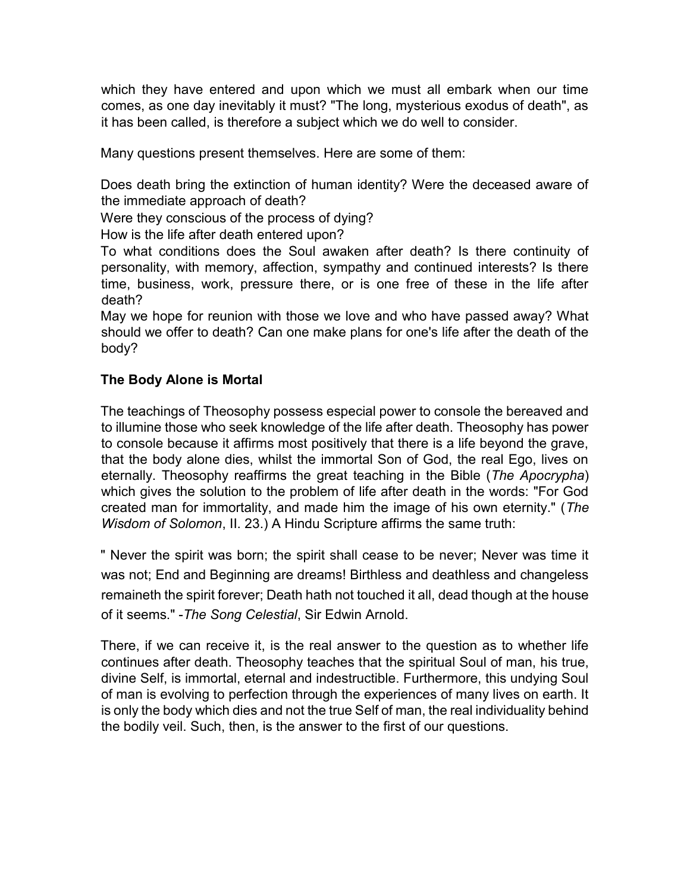which they have entered and upon which we must all embark when our time comes, as one day inevitably it must? "The long, mysterious exodus of death", as it has been called, is therefore a subject which we do well to consider.

Many questions present themselves. Here are some of them:

Does death bring the extinction of human identity? Were the deceased aware of the immediate approach of death?

Were they conscious of the process of dying?

How is the life after death entered upon?

To what conditions does the Soul awaken after death? Is there continuity of personality, with memory, affection, sympathy and continued interests? Is there time, business, work, pressure there, or is one free of these in the life after death?

May we hope for reunion with those we love and who have passed away? What should we offer to death? Can one make plans for one's life after the death of the body?

#### **The Body Alone is Mortal**

The teachings of Theosophy possess especial power to console the bereaved and to illumine those who seek knowledge of the life after death. Theosophy has power to console because it affirms most positively that there is a life beyond the grave, that the body alone dies, whilst the immortal Son of God, the real Ego, lives on eternally. Theosophy reaffirms the great teaching in the Bible (*The Apocrypha*) which gives the solution to the problem of life after death in the words: "For God created man for immortality, and made him the image of his own eternity." (*The Wisdom of Solomon*, II. 23.) A Hindu Scripture affirms the same truth:

" Never the spirit was born; the spirit shall cease to be never; Never was time it was not; End and Beginning are dreams! Birthless and deathless and changeless remaineth the spirit forever; Death hath not touched it all, dead though at the house of it seems." -*The Song Celestial*, Sir Edwin Arnold.

There, if we can receive it, is the real answer to the question as to whether life continues after death. Theosophy teaches that the spiritual Soul of man, his true, divine Self, is immortal, eternal and indestructible. Furthermore, this undying Soul of man is evolving to perfection through the experiences of many lives on earth. It is only the body which dies and not the true Self of man, the real individuality behind the bodily veil. Such, then, is the answer to the first of our questions.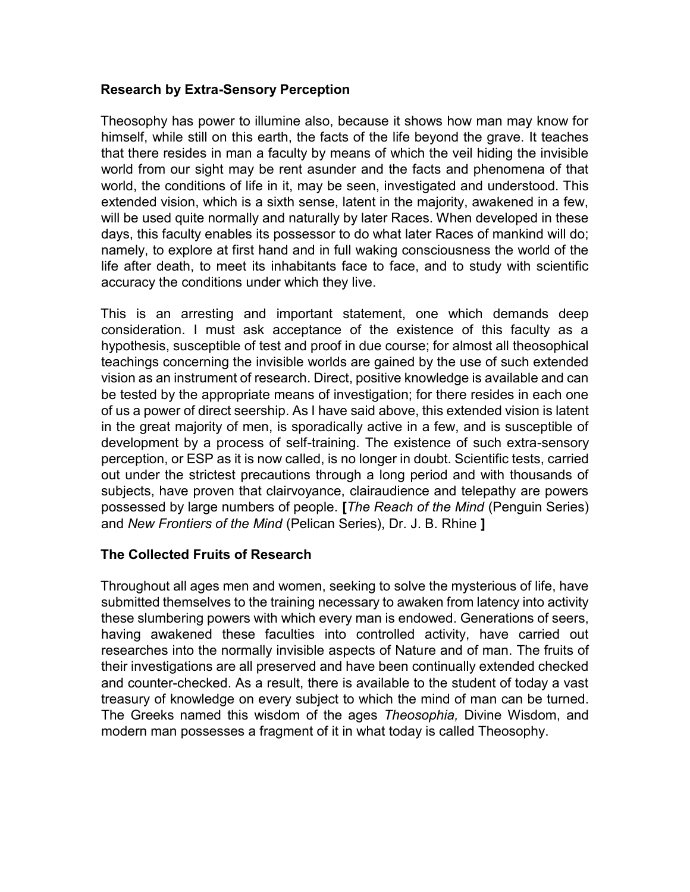#### **Research by Extra-Sensory Perception**

Theosophy has power to illumine also, because it shows how man may know for himself, while still on this earth, the facts of the life beyond the grave. It teaches that there resides in man a faculty by means of which the veil hiding the invisible world from our sight may be rent asunder and the facts and phenomena of that world, the conditions of life in it, may be seen, investigated and understood. This extended vision, which is a sixth sense, latent in the majority, awakened in a few, will be used quite normally and naturally by later Races. When developed in these days, this faculty enables its possessor to do what later Races of mankind will do; namely, to explore at first hand and in full waking consciousness the world of the life after death, to meet its inhabitants face to face, and to study with scientific accuracy the conditions under which they live.

This is an arresting and important statement, one which demands deep consideration. I must ask acceptance of the existence of this faculty as a hypothesis, susceptible of test and proof in due course; for almost all theosophical teachings concerning the invisible worlds are gained by the use of such extended vision as an instrument of research. Direct, positive knowledge is available and can be tested by the appropriate means of investigation; for there resides in each one of us a power of direct seership. As I have said above, this extended vision is latent in the great majority of men, is sporadically active in a few, and is susceptible of development by a process of self-training. The existence of such extra-sensory perception, or ESP as it is now called, is no longer in doubt. Scientific tests, carried out under the strictest precautions through a long period and with thousands of subjects, have proven that clairvoyance, clairaudience and telepathy are powers possessed by large numbers of people. **[***The Reach of the Mind* (Penguin Series) and *New Frontiers of the Mind* (Pelican Series), Dr. J. B. Rhine **]**

#### **The Collected Fruits of Research**

Throughout all ages men and women, seeking to solve the mysterious of life, have submitted themselves to the training necessary to awaken from latency into activity these slumbering powers with which every man is endowed. Generations of seers, having awakened these faculties into controlled activity, have carried out researches into the normally invisible aspects of Nature and of man. The fruits of their investigations are all preserved and have been continually extended checked and counter-checked. As a result, there is available to the student of today a vast treasury of knowledge on every subject to which the mind of man can be turned. The Greeks named this wisdom of the ages *Theosophia,* Divine Wisdom, and modern man possesses a fragment of it in what today is called Theosophy.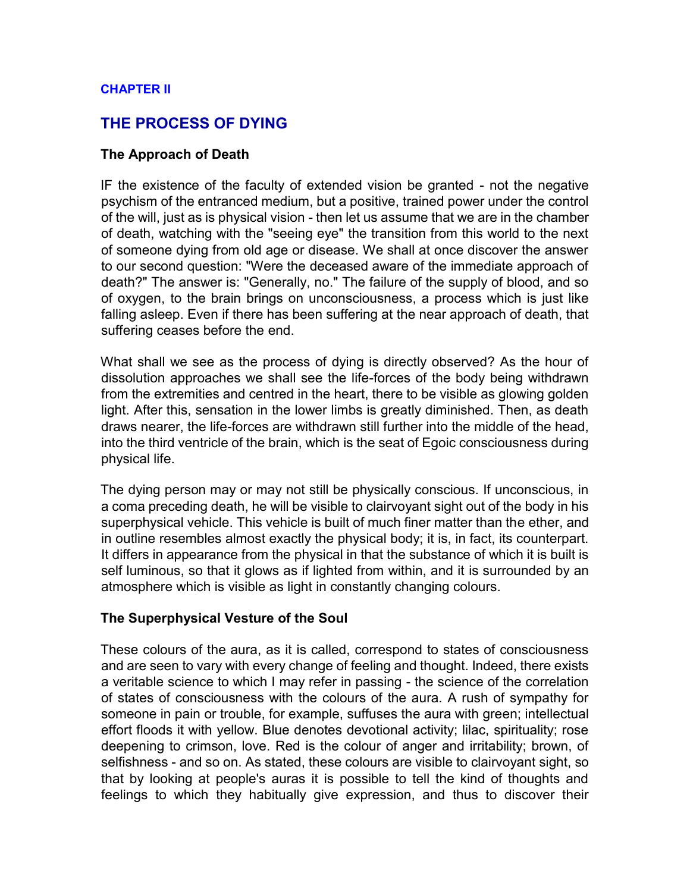#### **CHAPTER II**

## **THE PROCESS OF DYING**

#### **The Approach of Death**

IF the existence of the faculty of extended vision be granted - not the negative psychism of the entranced medium, but a positive, trained power under the control of the will, just as is physical vision - then let us assume that we are in the chamber of death, watching with the "seeing eye" the transition from this world to the next of someone dying from old age or disease. We shall at once discover the answer to our second question: "Were the deceased aware of the immediate approach of death?" The answer is: "Generally, no." The failure of the supply of blood, and so of oxygen, to the brain brings on unconsciousness, a process which is just like falling asleep. Even if there has been suffering at the near approach of death, that suffering ceases before the end.

What shall we see as the process of dying is directly observed? As the hour of dissolution approaches we shall see the life-forces of the body being withdrawn from the extremities and centred in the heart, there to be visible as glowing golden light. After this, sensation in the lower limbs is greatly diminished. Then, as death draws nearer, the life-forces are withdrawn still further into the middle of the head, into the third ventricle of the brain, which is the seat of Egoic consciousness during physical life.

The dying person may or may not still be physically conscious. If unconscious, in a coma preceding death, he will be visible to clairvoyant sight out of the body in his superphysical vehicle. This vehicle is built of much finer matter than the ether, and in outline resembles almost exactly the physical body; it is, in fact, its counterpart. It differs in appearance from the physical in that the substance of which it is built is self luminous, so that it glows as if lighted from within, and it is surrounded by an atmosphere which is visible as light in constantly changing colours.

#### **The Superphysical Vesture of the Soul**

These colours of the aura, as it is called, correspond to states of consciousness and are seen to vary with every change of feeling and thought. Indeed, there exists a veritable science to which I may refer in passing - the science of the correlation of states of consciousness with the colours of the aura. A rush of sympathy for someone in pain or trouble, for example, suffuses the aura with green; intellectual effort floods it with yellow. Blue denotes devotional activity; lilac, spirituality; rose deepening to crimson, love. Red is the colour of anger and irritability; brown, of selfishness - and so on. As stated, these colours are visible to clairvoyant sight, so that by looking at people's auras it is possible to tell the kind of thoughts and feelings to which they habitually give expression, and thus to discover their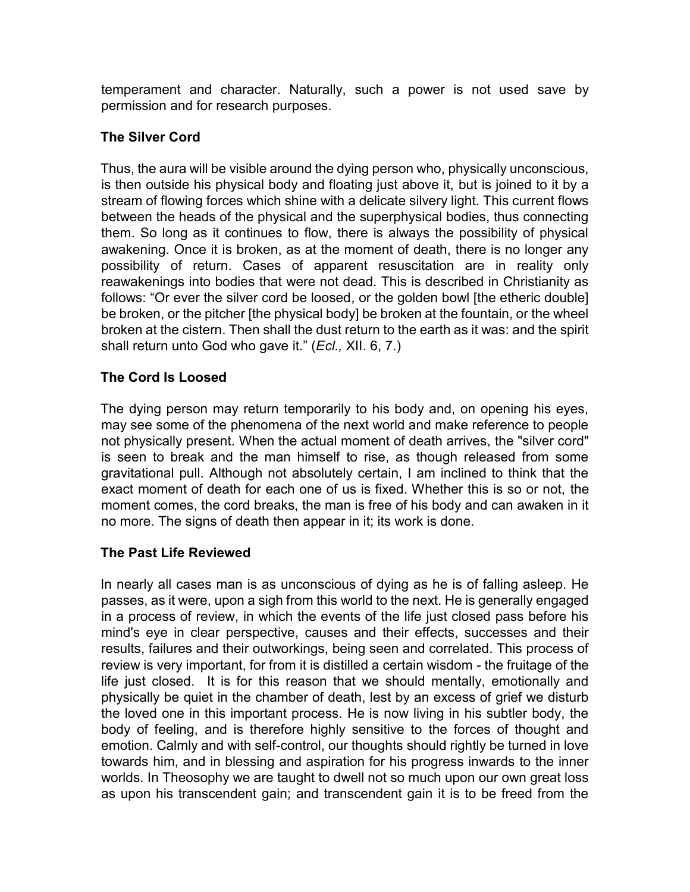temperament and character. Naturally, such a power is not used save by permission and for research purposes.

#### **The Silver Cord**

Thus, the aura will be visible around the dying person who, physically unconscious, is then outside his physical body and floating just above it, but is joined to it by a stream of flowing forces which shine with a delicate silvery light. This current flows between the heads of the physical and the superphysical bodies, thus connecting them. So long as it continues to flow, there is always the possibility of physical awakening. Once it is broken, as at the moment of death, there is no longer any possibility of return. Cases of apparent resuscitation are in reality only reawakenings into bodies that were not dead. This is described in Christianity as follows: "Or ever the silver cord be loosed, or the golden bowl [the etheric double] be broken, or the pitcher [the physical body] be broken at the fountain, or the wheel broken at the cistern. Then shall the dust return to the earth as it was: and the spirit shall return unto God who gave it." (*Ecl.,* XII. 6, 7.)

### **The Cord Is Loosed**

The dying person may return temporarily to his body and, on opening his eyes, may see some of the phenomena of the next world and make reference to people not physically present. When the actual moment of death arrives, the "silver cord" is seen to break and the man himself to rise, as though released from some gravitational pull. Although not absolutely certain, I am inclined to think that the exact moment of death for each one of us is fixed. Whether this is so or not, the moment comes, the cord breaks, the man is free of his body and can awaken in it no more. The signs of death then appear in it; its work is done.

## **The Past Life Reviewed**

In nearly all cases man is as unconscious of dying as he is of falling asleep. He passes, as it were, upon a sigh from this world to the next. He is generally engaged in a process of review, in which the events of the life just closed pass before his mind's eye in clear perspective, causes and their effects, successes and their results, failures and their outworkings, being seen and correlated. This process of review is very important, for from it is distilled a certain wisdom - the fruitage of the life just closed. It is for this reason that we should mentally, emotionally and physically be quiet in the chamber of death, lest by an excess of grief we disturb the loved one in this important process. He is now living in his subtler body, the body of feeling, and is therefore highly sensitive to the forces of thought and emotion. Calmly and with self-control, our thoughts should rightly be turned in love towards him, and in blessing and aspiration for his progress inwards to the inner worlds. In Theosophy we are taught to dwell not so much upon our own great loss as upon his transcendent gain; and transcendent gain it is to be freed from the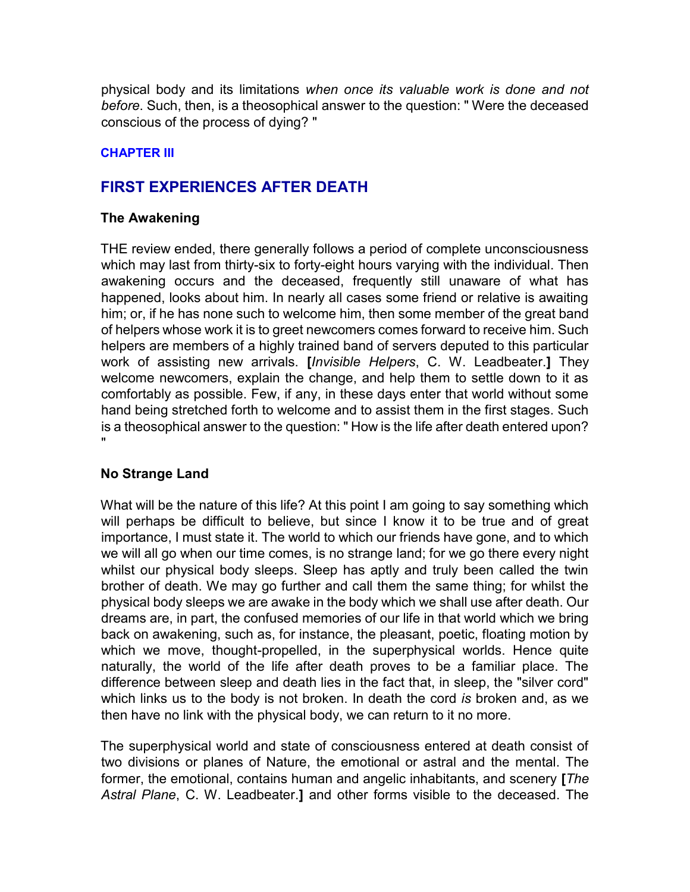physical body and its limitations *when once its valuable work is done and not before*. Such, then, is a theosophical answer to the question: " Were the deceased conscious of the process of dying? "

#### **CHAPTER III**

## **FIRST EXPERIENCES AFTER DEATH**

#### **The Awakening**

THE review ended, there generally follows a period of complete unconsciousness which may last from thirty-six to forty-eight hours varying with the individual. Then awakening occurs and the deceased, frequently still unaware of what has happened, looks about him. In nearly all cases some friend or relative is awaiting him; or, if he has none such to welcome him, then some member of the great band of helpers whose work it is to greet newcomers comes forward to receive him. Such helpers are members of a highly trained band of servers deputed to this particular work of assisting new arrivals. **[***Invisible Helpers*, C. W. Leadbeater.**]** They welcome newcomers, explain the change, and help them to settle down to it as comfortably as possible. Few, if any, in these days enter that world without some hand being stretched forth to welcome and to assist them in the first stages. Such is a theosophical answer to the question: " How is the life after death entered upon? "

#### **No Strange Land**

What will be the nature of this life? At this point I am going to say something which will perhaps be difficult to believe, but since I know it to be true and of great importance, I must state it. The world to which our friends have gone, and to which we will all go when our time comes, is no strange land; for we go there every night whilst our physical body sleeps. Sleep has aptly and truly been called the twin brother of death. We may go further and call them the same thing; for whilst the physical body sleeps we are awake in the body which we shall use after death. Our dreams are, in part, the confused memories of our life in that world which we bring back on awakening, such as, for instance, the pleasant, poetic, floating motion by which we move, thought-propelled, in the superphysical worlds. Hence quite naturally, the world of the life after death proves to be a familiar place. The difference between sleep and death lies in the fact that, in sleep, the "silver cord" which links us to the body is not broken. In death the cord *is* broken and, as we then have no link with the physical body, we can return to it no more.

The superphysical world and state of consciousness entered at death consist of two divisions or planes of Nature, the emotional or astral and the mental. The former, the emotional, contains human and angelic inhabitants, and scenery **[***The Astral Plane*, C. W. Leadbeater.**]** and other forms visible to the deceased. The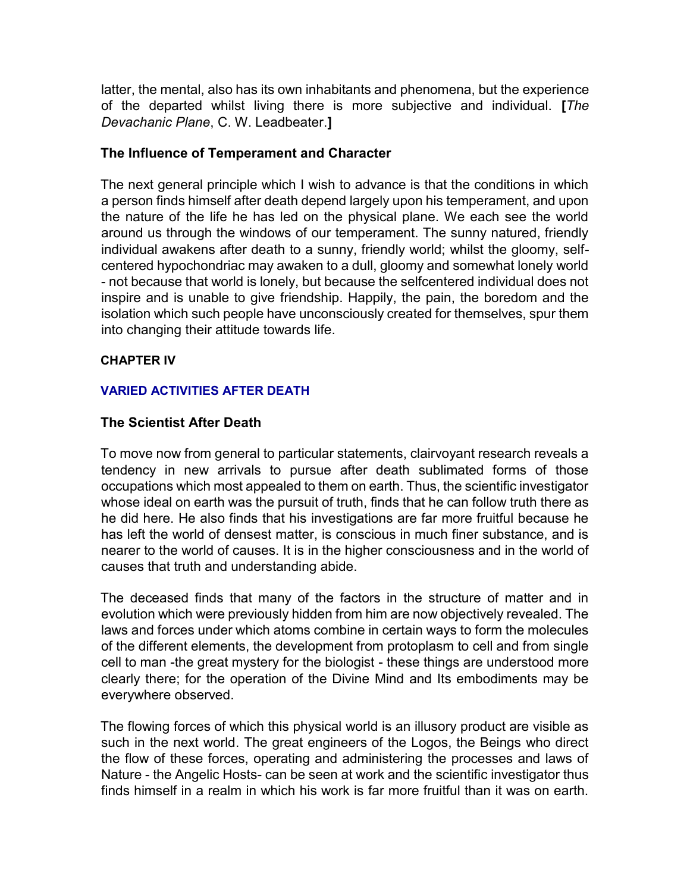latter, the mental, also has its own inhabitants and phenomena, but the experience of the departed whilst living there is more subjective and individual. **[***The Devachanic Plane*, C. W. Leadbeater.**]**

#### **The Influence of Temperament and Character**

The next general principle which I wish to advance is that the conditions in which a person finds himself after death depend largely upon his temperament, and upon the nature of the life he has led on the physical plane. We each see the world around us through the windows of our temperament. The sunny natured, friendly individual awakens after death to a sunny, friendly world; whilst the gloomy, selfcentered hypochondriac may awaken to a dull, gloomy and somewhat lonely world - not because that world is lonely, but because the selfcentered individual does not inspire and is unable to give friendship. Happily, the pain, the boredom and the isolation which such people have unconsciously created for themselves, spur them into changing their attitude towards life.

#### **CHAPTER IV**

#### **VARIED ACTIVITIES AFTER DEATH**

#### **The Scientist After Death**

To move now from general to particular statements, clairvoyant research reveals a tendency in new arrivals to pursue after death sublimated forms of those occupations which most appealed to them on earth. Thus, the scientific investigator whose ideal on earth was the pursuit of truth, finds that he can follow truth there as he did here. He also finds that his investigations are far more fruitful because he has left the world of densest matter, is conscious in much finer substance, and is nearer to the world of causes. It is in the higher consciousness and in the world of causes that truth and understanding abide.

The deceased finds that many of the factors in the structure of matter and in evolution which were previously hidden from him are now objectively revealed. The laws and forces under which atoms combine in certain ways to form the molecules of the different elements, the development from protoplasm to cell and from single cell to man -the great mystery for the biologist - these things are understood more clearly there; for the operation of the Divine Mind and Its embodiments may be everywhere observed.

The flowing forces of which this physical world is an illusory product are visible as such in the next world. The great engineers of the Logos, the Beings who direct the flow of these forces, operating and administering the processes and laws of Nature - the Angelic Hosts- can be seen at work and the scientific investigator thus finds himself in a realm in which his work is far more fruitful than it was on earth.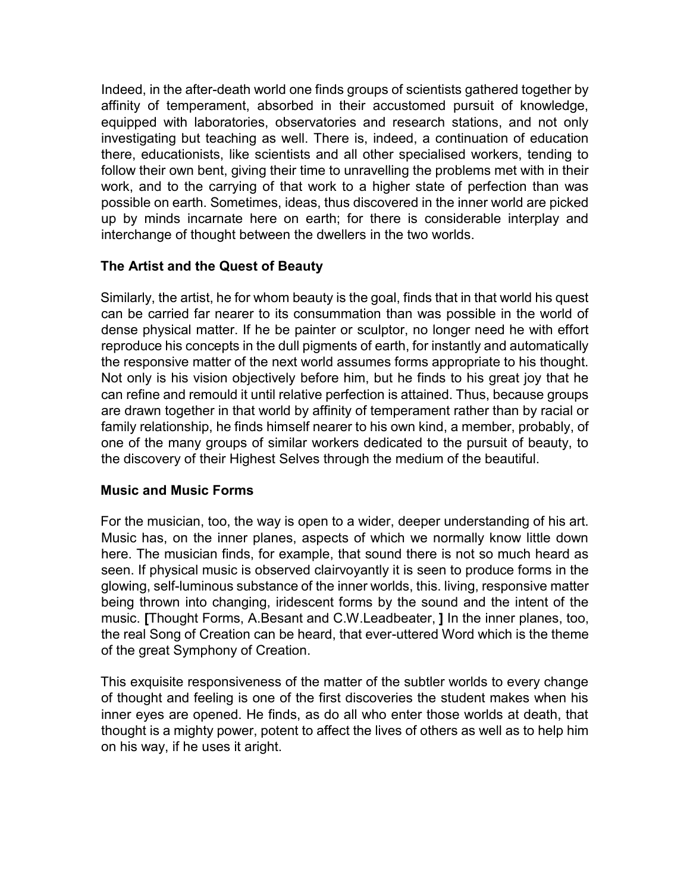Indeed, in the after-death world one finds groups of scientists gathered together by affinity of temperament, absorbed in their accustomed pursuit of knowledge, equipped with laboratories, observatories and research stations, and not only investigating but teaching as well. There is, indeed, a continuation of education there, educationists, like scientists and all other specialised workers, tending to follow their own bent, giving their time to unravelling the problems met with in their work, and to the carrying of that work to a higher state of perfection than was possible on earth. Sometimes, ideas, thus discovered in the inner world are picked up by minds incarnate here on earth; for there is considerable interplay and interchange of thought between the dwellers in the two worlds.

#### **The Artist and the Quest of Beauty**

Similarly, the artist, he for whom beauty is the goal, finds that in that world his quest can be carried far nearer to its consummation than was possible in the world of dense physical matter. If he be painter or sculptor, no longer need he with effort reproduce his concepts in the dull pigments of earth, for instantly and automatically the responsive matter of the next world assumes forms appropriate to his thought. Not only is his vision objectively before him, but he finds to his great joy that he can refine and remould it until relative perfection is attained. Thus, because groups are drawn together in that world by affinity of temperament rather than by racial or family relationship, he finds himself nearer to his own kind, a member, probably, of one of the many groups of similar workers dedicated to the pursuit of beauty, to the discovery of their Highest Selves through the medium of the beautiful.

#### **Music and Music Forms**

For the musician, too, the way is open to a wider, deeper understanding of his art. Music has, on the inner planes, aspects of which we normally know little down here. The musician finds, for example, that sound there is not so much heard as seen. If physical music is observed clairvoyantly it is seen to produce forms in the glowing, self-luminous substance of the inner worlds, this. living, responsive matter being thrown into changing, iridescent forms by the sound and the intent of the music. **[**Thought Forms, A.Besant and C.W.Leadbeater, **]** In the inner planes, too, the real Song of Creation can be heard, that ever-uttered Word which is the theme of the great Symphony of Creation.

This exquisite responsiveness of the matter of the subtler worlds to every change of thought and feeling is one of the first discoveries the student makes when his inner eyes are opened. He finds, as do all who enter those worlds at death, that thought is a mighty power, potent to affect the lives of others as well as to help him on his way, if he uses it aright.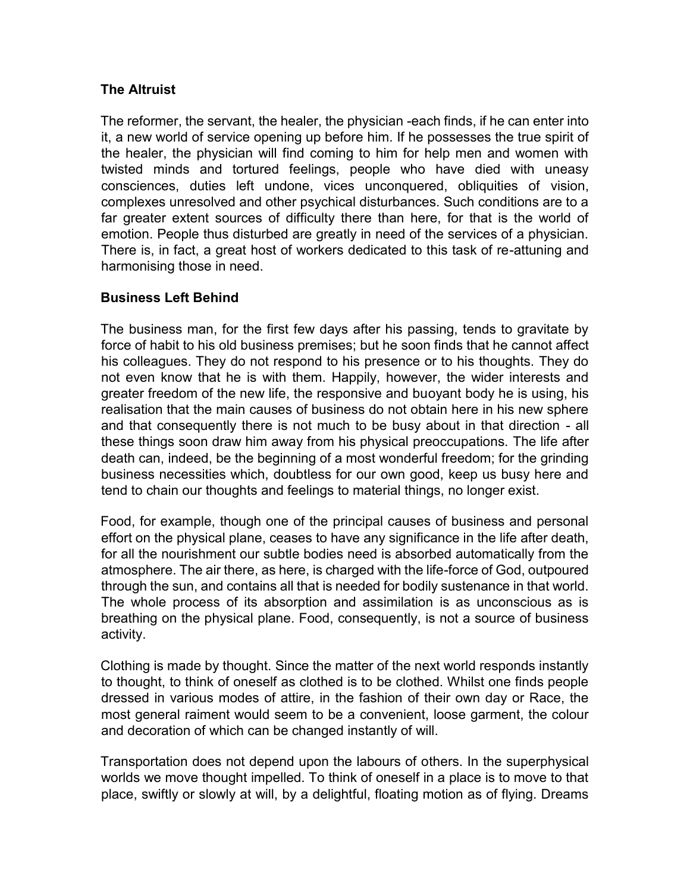#### **The Altruist**

The reformer, the servant, the healer, the physician -each finds, if he can enter into it, a new world of service opening up before him. If he possesses the true spirit of the healer, the physician will find coming to him for help men and women with twisted minds and tortured feelings, people who have died with uneasy consciences, duties left undone, vices unconquered, obliquities of vision, complexes unresolved and other psychical disturbances. Such conditions are to a far greater extent sources of difficulty there than here, for that is the world of emotion. People thus disturbed are greatly in need of the services of a physician. There is, in fact, a great host of workers dedicated to this task of re-attuning and harmonising those in need.

#### **Business Left Behind**

The business man, for the first few days after his passing, tends to gravitate by force of habit to his old business premises; but he soon finds that he cannot affect his colleagues. They do not respond to his presence or to his thoughts. They do not even know that he is with them. Happily, however, the wider interests and greater freedom of the new life, the responsive and buoyant body he is using, his realisation that the main causes of business do not obtain here in his new sphere and that consequently there is not much to be busy about in that direction - all these things soon draw him away from his physical preoccupations. The life after death can, indeed, be the beginning of a most wonderful freedom; for the grinding business necessities which, doubtless for our own good, keep us busy here and tend to chain our thoughts and feelings to material things, no longer exist.

Food, for example, though one of the principal causes of business and personal effort on the physical plane, ceases to have any significance in the life after death, for all the nourishment our subtle bodies need is absorbed automatically from the atmosphere. The air there, as here, is charged with the life-force of God, outpoured through the sun, and contains all that is needed for bodily sustenance in that world. The whole process of its absorption and assimilation is as unconscious as is breathing on the physical plane. Food, consequently, is not a source of business activity.

Clothing is made by thought. Since the matter of the next world responds instantly to thought, to think of oneself as clothed is to be clothed. Whilst one finds people dressed in various modes of attire, in the fashion of their own day or Race, the most general raiment would seem to be a convenient, loose garment, the colour and decoration of which can be changed instantly of will.

Transportation does not depend upon the labours of others. In the superphysical worlds we move thought impelled. To think of oneself in a place is to move to that place, swiftly or slowly at will, by a delightful, floating motion as of flying. Dreams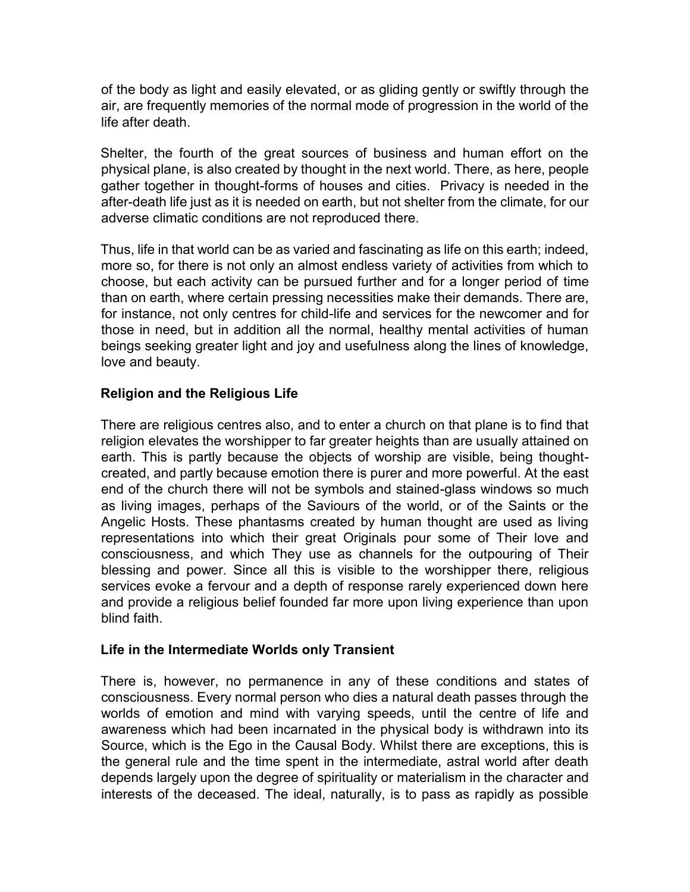of the body as light and easily elevated, or as gliding gently or swiftly through the air, are frequently memories of the normal mode of progression in the world of the life after death.

Shelter, the fourth of the great sources of business and human effort on the physical plane, is also created by thought in the next world. There, as here, people gather together in thought-forms of houses and cities. Privacy is needed in the after-death life just as it is needed on earth, but not shelter from the climate, for our adverse climatic conditions are not reproduced there.

Thus, life in that world can be as varied and fascinating as life on this earth; indeed, more so, for there is not only an almost endless variety of activities from which to choose, but each activity can be pursued further and for a longer period of time than on earth, where certain pressing necessities make their demands. There are, for instance, not only centres for child-life and services for the newcomer and for those in need, but in addition all the normal, healthy mental activities of human beings seeking greater light and joy and usefulness along the lines of knowledge, love and beauty.

#### **Religion and the Religious Life**

There are religious centres also, and to enter a church on that plane is to find that religion elevates the worshipper to far greater heights than are usually attained on earth. This is partly because the objects of worship are visible, being thoughtcreated, and partly because emotion there is purer and more powerful. At the east end of the church there will not be symbols and stained-glass windows so much as living images, perhaps of the Saviours of the world, or of the Saints or the Angelic Hosts. These phantasms created by human thought are used as living representations into which their great Originals pour some of Their love and consciousness, and which They use as channels for the outpouring of Their blessing and power. Since all this is visible to the worshipper there, religious services evoke a fervour and a depth of response rarely experienced down here and provide a religious belief founded far more upon living experience than upon blind faith.

#### **Life in the Intermediate Worlds only Transient**

There is, however, no permanence in any of these conditions and states of consciousness. Every normal person who dies a natural death passes through the worlds of emotion and mind with varying speeds, until the centre of life and awareness which had been incarnated in the physical body is withdrawn into its Source, which is the Ego in the Causal Body. Whilst there are exceptions, this is the general rule and the time spent in the intermediate, astral world after death depends largely upon the degree of spirituality or materialism in the character and interests of the deceased. The ideal, naturally, is to pass as rapidly as possible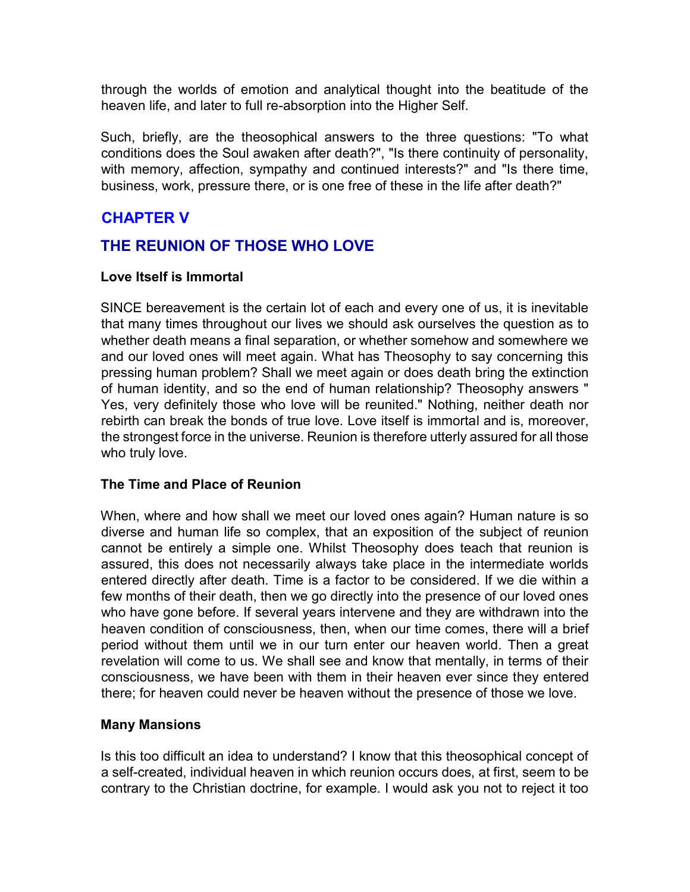through the worlds of emotion and analytical thought into the beatitude of the heaven life, and later to full re-absorption into the Higher Self.

Such, briefly, are the theosophical answers to the three questions: "To what conditions does the Soul awaken after death?", "Is there continuity of personality, with memory, affection, sympathy and continued interests?" and "Is there time, business, work, pressure there, or is one free of these in the life after death?"

## **CHAPTER V**

## **THE REUNION OF THOSE WHO LOVE**

### **Love Itself is Immortal**

SINCE bereavement is the certain lot of each and every one of us, it is inevitable that many times throughout our lives we should ask ourselves the question as to whether death means a final separation, or whether somehow and somewhere we and our loved ones will meet again. What has Theosophy to say concerning this pressing human problem? Shall we meet again or does death bring the extinction of human identity, and so the end of human relationship? Theosophy answers " Yes, very definitely those who love will be reunited." Nothing, neither death nor rebirth can break the bonds of true love. Love itself is immortal and is, moreover, the strongest force in the universe. Reunion is therefore utterly assured for all those who truly love.

#### **The Time and Place of Reunion**

When, where and how shall we meet our loved ones again? Human nature is so diverse and human life so complex, that an exposition of the subject of reunion cannot be entirely a simple one. Whilst Theosophy does teach that reunion is assured, this does not necessarily always take place in the intermediate worlds entered directly after death. Time is a factor to be considered. If we die within a few months of their death, then we go directly into the presence of our loved ones who have gone before. If several years intervene and they are withdrawn into the heaven condition of consciousness, then, when our time comes, there will a brief period without them until we in our turn enter our heaven world. Then a great revelation will come to us. We shall see and know that mentally, in terms of their consciousness, we have been with them in their heaven ever since they entered there; for heaven could never be heaven without the presence of those we love.

## **Many Mansions**

Is this too difficult an idea to understand? I know that this theosophical concept of a self-created, individual heaven in which reunion occurs does, at first, seem to be contrary to the Christian doctrine, for example. I would ask you not to reject it too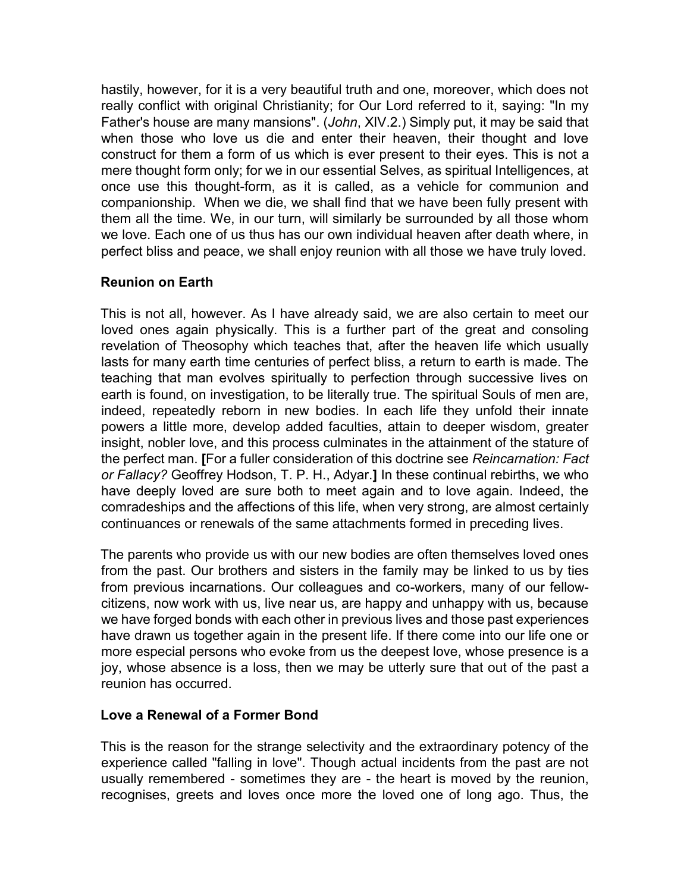hastily, however, for it is a very beautiful truth and one, moreover, which does not really conflict with original Christianity; for Our Lord referred to it, saying: "In my Father's house are many mansions". (*John*, XIV.2.) Simply put, it may be said that when those who love us die and enter their heaven, their thought and love construct for them a form of us which is ever present to their eyes. This is not a mere thought form only; for we in our essential Selves, as spiritual Intelligences, at once use this thought-form, as it is called, as a vehicle for communion and companionship. When we die, we shall find that we have been fully present with them all the time. We, in our turn, will similarly be surrounded by all those whom we love. Each one of us thus has our own individual heaven after death where, in perfect bliss and peace, we shall enjoy reunion with all those we have truly loved.

#### **Reunion on Earth**

This is not all, however. As I have already said, we are also certain to meet our loved ones again physically. This is a further part of the great and consoling revelation of Theosophy which teaches that, after the heaven life which usually lasts for many earth time centuries of perfect bliss, a return to earth is made. The teaching that man evolves spiritually to perfection through successive lives on earth is found, on investigation, to be literally true. The spiritual Souls of men are, indeed, repeatedly reborn in new bodies. In each life they unfold their innate powers a little more, develop added faculties, attain to deeper wisdom, greater insight, nobler love, and this process culminates in the attainment of the stature of the perfect man. **[**For a fuller consideration of this doctrine see *Reincarnation: Fact or Fallacy?* Geoffrey Hodson, T. P. H., Adyar.**]** In these continual rebirths, we who have deeply loved are sure both to meet again and to love again. Indeed, the comradeships and the affections of this life, when very strong, are almost certainly continuances or renewals of the same attachments formed in preceding lives.

The parents who provide us with our new bodies are often themselves loved ones from the past. Our brothers and sisters in the family may be linked to us by ties from previous incarnations. Our colleagues and co-workers, many of our fellowcitizens, now work with us, live near us, are happy and unhappy with us, because we have forged bonds with each other in previous lives and those past experiences have drawn us together again in the present life. If there come into our life one or more especial persons who evoke from us the deepest love, whose presence is a joy, whose absence is a loss, then we may be utterly sure that out of the past a reunion has occurred.

#### **Love a Renewal of a Former Bond**

This is the reason for the strange selectivity and the extraordinary potency of the experience called "falling in love". Though actual incidents from the past are not usually remembered - sometimes they are - the heart is moved by the reunion, recognises, greets and loves once more the loved one of long ago. Thus, the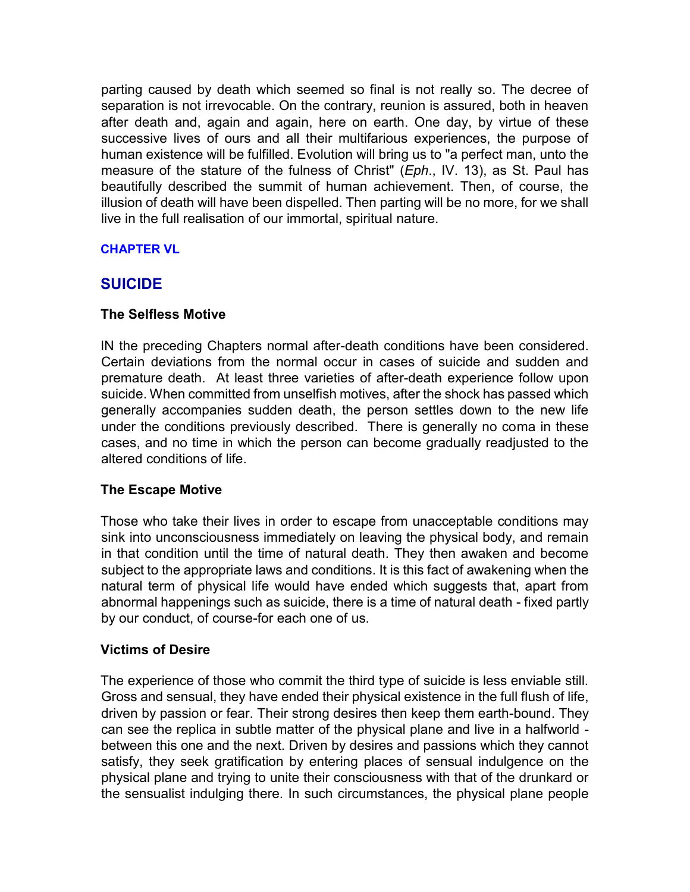parting caused by death which seemed so final is not really so. The decree of separation is not irrevocable. On the contrary, reunion is assured, both in heaven after death and, again and again, here on earth. One day, by virtue of these successive lives of ours and all their multifarious experiences, the purpose of human existence will be fulfilled. Evolution will bring us to "a perfect man, unto the measure of the stature of the fulness of Christ" (*Eph*., IV. 13), as St. Paul has beautifully described the summit of human achievement. Then, of course, the illusion of death will have been dispelled. Then parting will be no more, for we shall live in the full realisation of our immortal, spiritual nature.

### **CHAPTER VL**

## **SUICIDE**

#### **The Selfless Motive**

IN the preceding Chapters normal after-death conditions have been considered. Certain deviations from the normal occur in cases of suicide and sudden and premature death. At least three varieties of after-death experience follow upon suicide. When committed from unselfish motives, after the shock has passed which generally accompanies sudden death, the person settles down to the new life under the conditions previously described. There is generally no coma in these cases, and no time in which the person can become gradually readjusted to the altered conditions of life.

#### **The Escape Motive**

Those who take their lives in order to escape from unacceptable conditions may sink into unconsciousness immediately on leaving the physical body, and remain in that condition until the time of natural death. They then awaken and become subject to the appropriate laws and conditions. It is this fact of awakening when the natural term of physical life would have ended which suggests that, apart from abnormal happenings such as suicide, there is a time of natural death - fixed partly by our conduct, of course-for each one of us.

#### **Victims of Desire**

The experience of those who commit the third type of suicide is less enviable still. Gross and sensual, they have ended their physical existence in the full flush of life, driven by passion or fear. Their strong desires then keep them earth-bound. They can see the replica in subtle matter of the physical plane and live in a halfworld between this one and the next. Driven by desires and passions which they cannot satisfy, they seek gratification by entering places of sensual indulgence on the physical plane and trying to unite their consciousness with that of the drunkard or the sensualist indulging there. In such circumstances, the physical plane people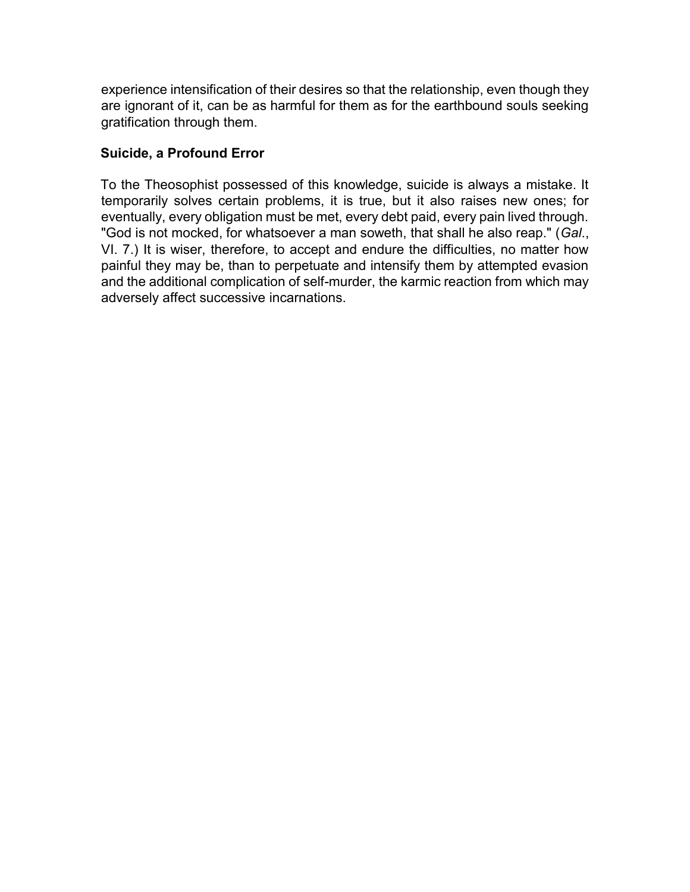experience intensification of their desires so that the relationship, even though they are ignorant of it, can be as harmful for them as for the earthbound souls seeking gratification through them.

#### **Suicide, a Profound Error**

To the Theosophist possessed of this knowledge, suicide is always a mistake. It temporarily solves certain problems, it is true, but it also raises new ones; for eventually, every obligation must be met, every debt paid, every pain lived through. "God is not mocked, for whatsoever a man soweth, that shall he also reap." (*Gal*., VI. 7.) It is wiser, therefore, to accept and endure the difficulties, no matter how painful they may be, than to perpetuate and intensify them by attempted evasion and the additional complication of self-murder, the karmic reaction from which may adversely affect successive incarnations.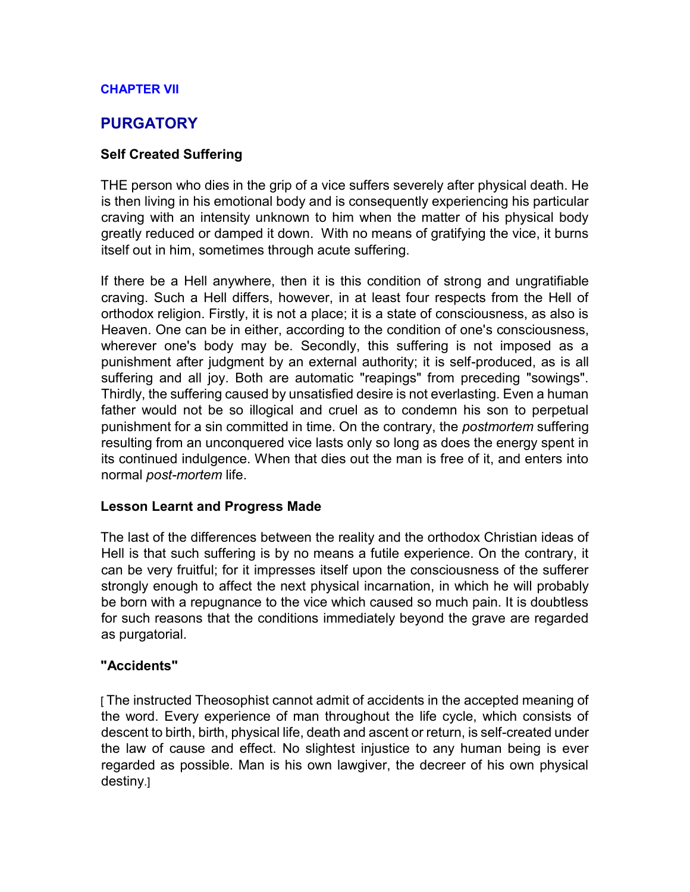#### **CHAPTER VII**

#### **PURGATORY**

#### **Self Created Suffering**

THE person who dies in the grip of a vice suffers severely after physical death. He is then living in his emotional body and is consequently experiencing his particular craving with an intensity unknown to him when the matter of his physical body greatly reduced or damped it down. With no means of gratifying the vice, it burns itself out in him, sometimes through acute suffering.

If there be a Hell anywhere, then it is this condition of strong and ungratifiable craving. Such a Hell differs, however, in at least four respects from the Hell of orthodox religion. Firstly, it is not a place; it is a state of consciousness, as also is Heaven. One can be in either, according to the condition of one's consciousness, wherever one's body may be. Secondly, this suffering is not imposed as a punishment after judgment by an external authority; it is self-produced, as is all suffering and all joy. Both are automatic "reapings" from preceding "sowings". Thirdly, the suffering caused by unsatisfied desire is not everlasting. Even a human father would not be so illogical and cruel as to condemn his son to perpetual punishment for a sin committed in time. On the contrary, the *postmortem* suffering resulting from an unconquered vice lasts only so long as does the energy spent in its continued indulgence. When that dies out the man is free of it, and enters into normal *post-mortem* life.

#### **Lesson Learnt and Progress Made**

The last of the differences between the reality and the orthodox Christian ideas of Hell is that such suffering is by no means a futile experience. On the contrary, it can be very fruitful; for it impresses itself upon the consciousness of the sufferer strongly enough to affect the next physical incarnation, in which he will probably be born with a repugnance to the vice which caused so much pain. It is doubtless for such reasons that the conditions immediately beyond the grave are regarded as purgatorial.

#### **"Accidents"**

[The instructed Theosophist cannot admit of accidents in the accepted meaning of the word. Every experience of man throughout the life cycle, which consists of descent to birth, birth, physical life, death and ascent or return, is self-created under the law of cause and effect. No slightest injustice to any human being is ever regarded as possible. Man is his own lawgiver, the decreer of his own physical destiny.]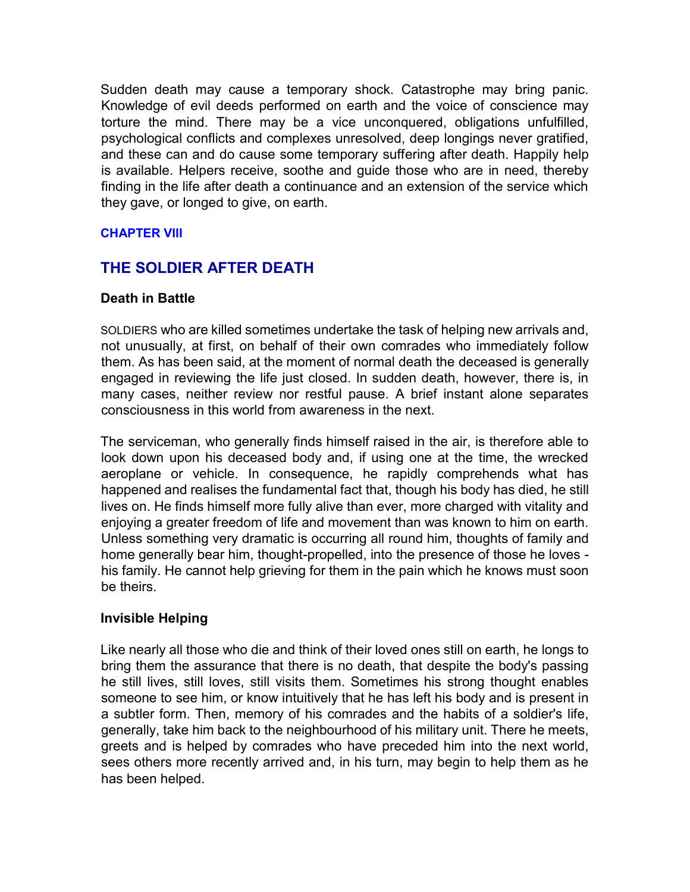Sudden death may cause a temporary shock. Catastrophe may bring panic. Knowledge of evil deeds performed on earth and the voice of conscience may torture the mind. There may be a vice unconquered, obligations unfulfilled, psychological conflicts and complexes unresolved, deep longings never gratified, and these can and do cause some temporary suffering after death. Happily help is available. Helpers receive, soothe and guide those who are in need, thereby finding in the life after death a continuance and an extension of the service which they gave, or longed to give, on earth.

#### **CHAPTER VIII**

## **THE SOLDIER AFTER DEATH**

#### **Death in Battle**

SOLDIERS who are killed sometimes undertake the task of helping new arrivals and, not unusually, at first, on behalf of their own comrades who immediately follow them. As has been said, at the moment of normal death the deceased is generally engaged in reviewing the life just closed. In sudden death, however, there is, in many cases, neither review nor restful pause. A brief instant alone separates consciousness in this world from awareness in the next.

The serviceman, who generally finds himself raised in the air, is therefore able to look down upon his deceased body and, if using one at the time, the wrecked aeroplane or vehicle. In consequence, he rapidly comprehends what has happened and realises the fundamental fact that, though his body has died, he still lives on. He finds himself more fully alive than ever, more charged with vitality and enjoying a greater freedom of life and movement than was known to him on earth. Unless something very dramatic is occurring all round him, thoughts of family and home generally bear him, thought-propelled, into the presence of those he loves his family. He cannot help grieving for them in the pain which he knows must soon be theirs.

#### **Invisible Helping**

Like nearly all those who die and think of their loved ones still on earth, he longs to bring them the assurance that there is no death, that despite the body's passing he still lives, still loves, still visits them. Sometimes his strong thought enables someone to see him, or know intuitively that he has left his body and is present in a subtler form. Then, memory of his comrades and the habits of a soldier's life, generally, take him back to the neighbourhood of his military unit. There he meets, greets and is helped by comrades who have preceded him into the next world, sees others more recently arrived and, in his turn, may begin to help them as he has been helped.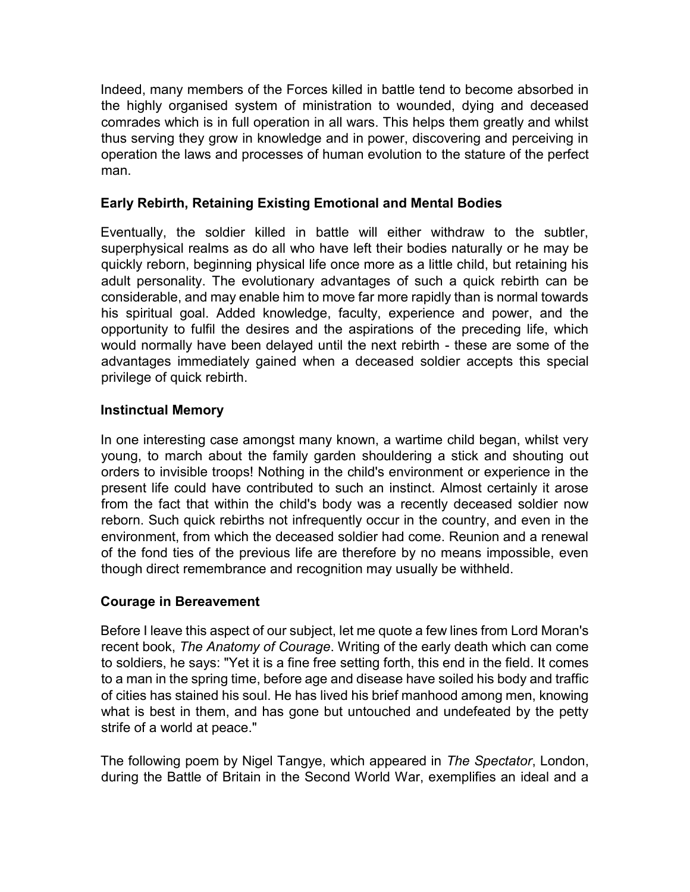Indeed, many members of the Forces killed in battle tend to become absorbed in the highly organised system of ministration to wounded, dying and deceased comrades which is in full operation in all wars. This helps them greatly and whilst thus serving they grow in knowledge and in power, discovering and perceiving in operation the laws and processes of human evolution to the stature of the perfect man.

#### **Early Rebirth, Retaining Existing Emotional and Mental Bodies**

Eventually, the soldier killed in battle will either withdraw to the subtler, superphysical realms as do all who have left their bodies naturally or he may be quickly reborn, beginning physical life once more as a little child, but retaining his adult personality. The evolutionary advantages of such a quick rebirth can be considerable, and may enable him to move far more rapidly than is normal towards his spiritual goal. Added knowledge, faculty, experience and power, and the opportunity to fulfil the desires and the aspirations of the preceding life, which would normally have been delayed until the next rebirth - these are some of the advantages immediately gained when a deceased soldier accepts this special privilege of quick rebirth.

#### **Instinctual Memory**

In one interesting case amongst many known, a wartime child began, whilst very young, to march about the family garden shouldering a stick and shouting out orders to invisible troops! Nothing in the child's environment or experience in the present life could have contributed to such an instinct. Almost certainly it arose from the fact that within the child's body was a recently deceased soldier now reborn. Such quick rebirths not infrequently occur in the country, and even in the environment, from which the deceased soldier had come. Reunion and a renewal of the fond ties of the previous life are therefore by no means impossible, even though direct remembrance and recognition may usually be withheld.

#### **Courage in Bereavement**

Before I leave this aspect of our subject, let me quote a few lines from Lord Moran's recent book, *The Anatomy of Courage*. Writing of the early death which can come to soldiers, he says: "Yet it is a fine free setting forth, this end in the field. It comes to a man in the spring time, before age and disease have soiled his body and traffic of cities has stained his soul. He has lived his brief manhood among men, knowing what is best in them, and has gone but untouched and undefeated by the petty strife of a world at peace."

The following poem by Nigel Tangye, which appeared in *The Spectator*, London, during the Battle of Britain in the Second World War, exemplifies an ideal and a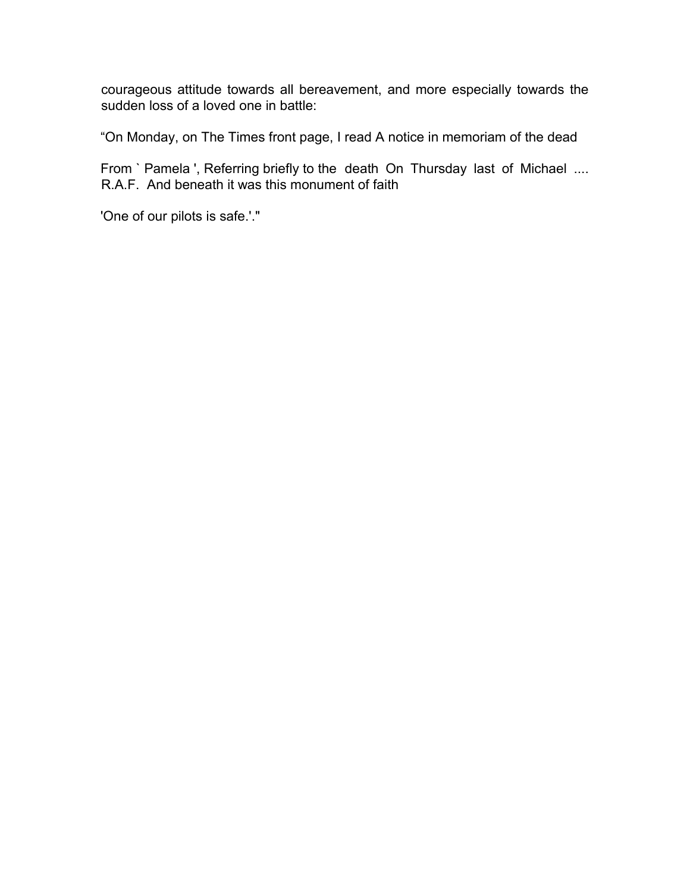courageous attitude towards all bereavement, and more especially towards the sudden loss of a loved one in battle:

"On Monday, on The Times front page, I read A notice in memoriam of the dead

From ` Pamela ', Referring briefly to the death On Thursday last of Michael .... R.A.F. And beneath it was this monument of faith

'One of our pilots is safe.'."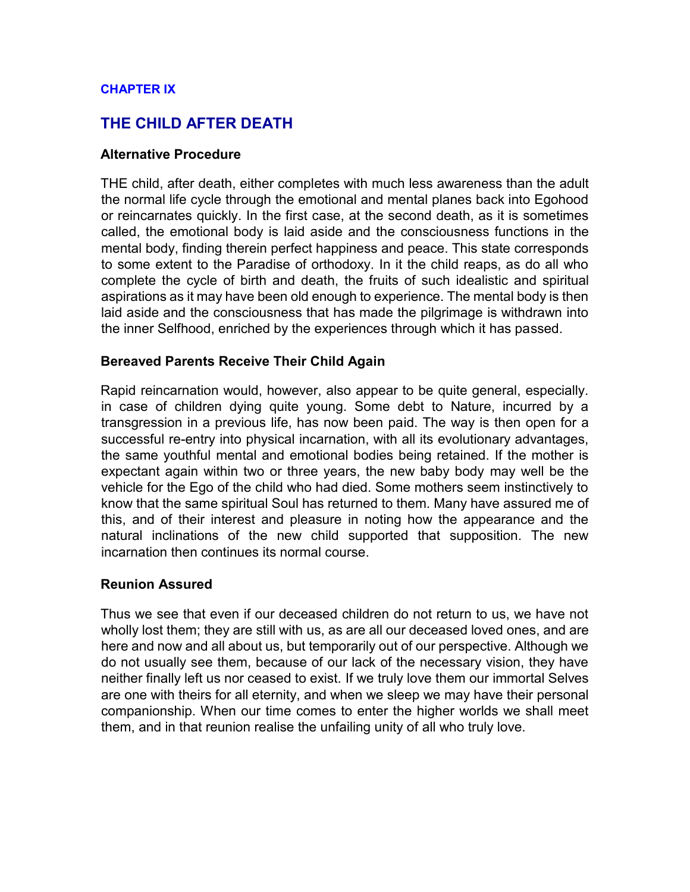#### **CHAPTER IX**

## **THE CHILD AFTER DEATH**

#### **Alternative Procedure**

THE child, after death, either completes with much less awareness than the adult the normal life cycle through the emotional and mental planes back into Egohood or reincarnates quickly. In the first case, at the second death, as it is sometimes called, the emotional body is laid aside and the consciousness functions in the mental body, finding therein perfect happiness and peace. This state corresponds to some extent to the Paradise of orthodoxy. In it the child reaps, as do all who complete the cycle of birth and death, the fruits of such idealistic and spiritual aspirations as it may have been old enough to experience. The mental body is then laid aside and the consciousness that has made the pilgrimage is withdrawn into the inner Selfhood, enriched by the experiences through which it has passed.

#### **Bereaved Parents Receive Their Child Again**

Rapid reincarnation would, however, also appear to be quite general, especially. in case of children dying quite young. Some debt to Nature, incurred by a transgression in a previous life, has now been paid. The way is then open for a successful re-entry into physical incarnation, with all its evolutionary advantages, the same youthful mental and emotional bodies being retained. If the mother is expectant again within two or three years, the new baby body may well be the vehicle for the Ego of the child who had died. Some mothers seem instinctively to know that the same spiritual Soul has returned to them. Many have assured me of this, and of their interest and pleasure in noting how the appearance and the natural inclinations of the new child supported that supposition. The new incarnation then continues its normal course.

#### **Reunion Assured**

Thus we see that even if our deceased children do not return to us, we have not wholly lost them; they are still with us, as are all our deceased loved ones, and are here and now and all about us, but temporarily out of our perspective. Although we do not usually see them, because of our lack of the necessary vision, they have neither finally left us nor ceased to exist. If we truly love them our immortal Selves are one with theirs for all eternity, and when we sleep we may have their personal companionship. When our time comes to enter the higher worlds we shall meet them, and in that reunion realise the unfailing unity of all who truly love.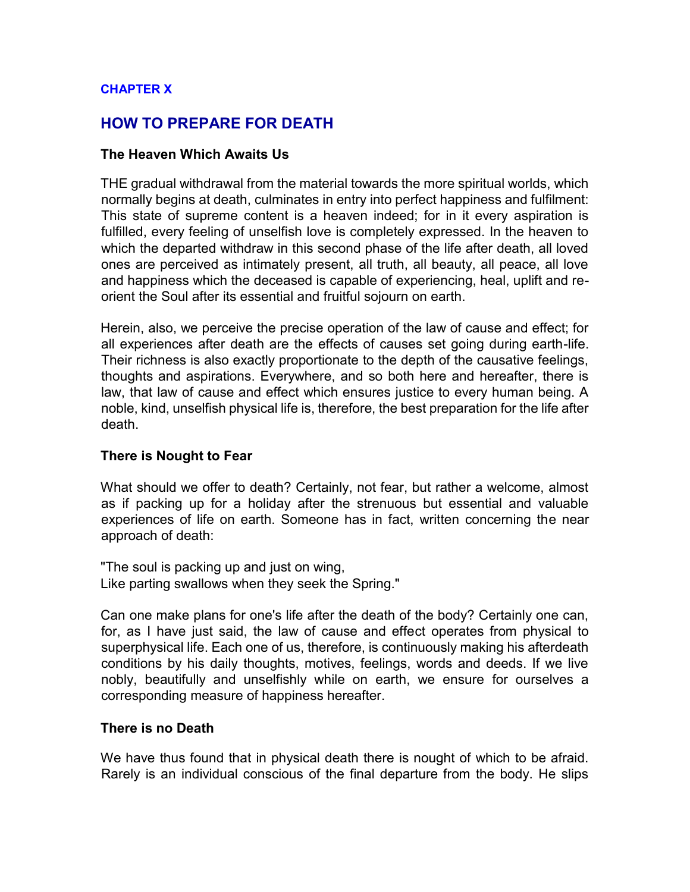#### **CHAPTER X**

## **HOW TO PREPARE FOR DEATH**

#### **The Heaven Which Awaits Us**

THE gradual withdrawal from the material towards the more spiritual worlds, which normally begins at death, culminates in entry into perfect happiness and fulfilment: This state of supreme content is a heaven indeed; for in it every aspiration is fulfilled, every feeling of unselfish love is completely expressed. In the heaven to which the departed withdraw in this second phase of the life after death, all loved ones are perceived as intimately present, all truth, all beauty, all peace, all love and happiness which the deceased is capable of experiencing, heal, uplift and reorient the Soul after its essential and fruitful sojourn on earth.

Herein, also, we perceive the precise operation of the law of cause and effect; for all experiences after death are the effects of causes set going during earth-life. Their richness is also exactly proportionate to the depth of the causative feelings, thoughts and aspirations. Everywhere, and so both here and hereafter, there is law, that law of cause and effect which ensures justice to every human being. A noble, kind, unselfish physical life is, therefore, the best preparation for the life after death.

#### **There is Nought to Fear**

What should we offer to death? Certainly, not fear, but rather a welcome, almost as if packing up for a holiday after the strenuous but essential and valuable experiences of life on earth. Someone has in fact, written concerning the near approach of death:

"The soul is packing up and just on wing, Like parting swallows when they seek the Spring."

Can one make plans for one's life after the death of the body? Certainly one can, for, as I have just said, the law of cause and effect operates from physical to superphysical life. Each one of us, therefore, is continuously making his afterdeath conditions by his daily thoughts, motives, feelings, words and deeds. If we live nobly, beautifully and unselfishly while on earth, we ensure for ourselves a corresponding measure of happiness hereafter.

#### **There is no Death**

We have thus found that in physical death there is nought of which to be afraid. Rarely is an individual conscious of the final departure from the body. He slips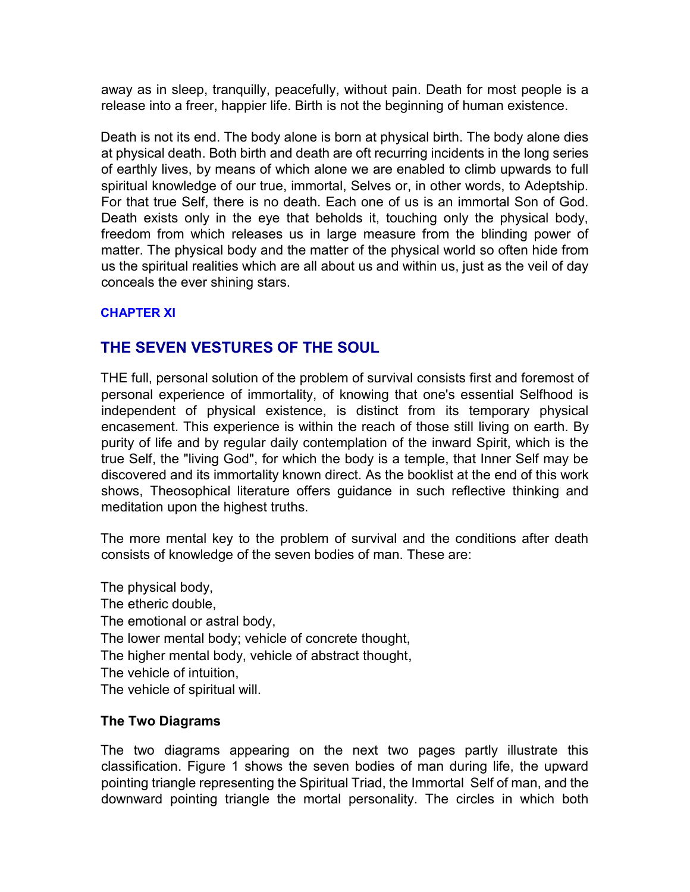away as in sleep, tranquilly, peacefully, without pain. Death for most people is a release into a freer, happier life. Birth is not the beginning of human existence.

Death is not its end. The body alone is born at physical birth. The body alone dies at physical death. Both birth and death are oft recurring incidents in the long series of earthly lives, by means of which alone we are enabled to climb upwards to full spiritual knowledge of our true, immortal, Selves or, in other words, to Adeptship. For that true Self, there is no death. Each one of us is an immortal Son of God. Death exists only in the eye that beholds it, touching only the physical body, freedom from which releases us in large measure from the blinding power of matter. The physical body and the matter of the physical world so often hide from us the spiritual realities which are all about us and within us, just as the veil of day conceals the ever shining stars.

#### **CHAPTER XI**

## **THE SEVEN VESTURES OF THE SOUL**

THE full, personal solution of the problem of survival consists first and foremost of personal experience of immortality, of knowing that one's essential Selfhood is independent of physical existence, is distinct from its temporary physical encasement. This experience is within the reach of those still living on earth. By purity of life and by regular daily contemplation of the inward Spirit, which is the true Self, the "living God", for which the body is a temple, that Inner Self may be discovered and its immortality known direct. As the booklist at the end of this work shows, Theosophical literature offers guidance in such reflective thinking and meditation upon the highest truths.

The more mental key to the problem of survival and the conditions after death consists of knowledge of the seven bodies of man. These are:

The physical body, [The e](http://www.theosophical.ca/EthericDouble.htm)theric double, [The emotional or astral body,](http://www.theosophical.ca/AstralBodyByPowell-A.htm) The lower mental body; vehicle of concrete though[t,](http://www.theosophical.ca/MentalBodyA.htm) The higher mental body, vehicle of abstract though[t,](http://www.theosophical.ca/CausalBody1.htm) The vehicle of intuition, The vehicle of spiritual will.

#### **The Two Diagrams**

The two diagrams appearing on the next two pages partly illustrate this classification. Figure 1 shows the seven bodies of man during life, the upward pointing triangle representing the Spiritual Triad, the Immortal Self of man, and the downward pointing triangle the mortal personality. The circles in which both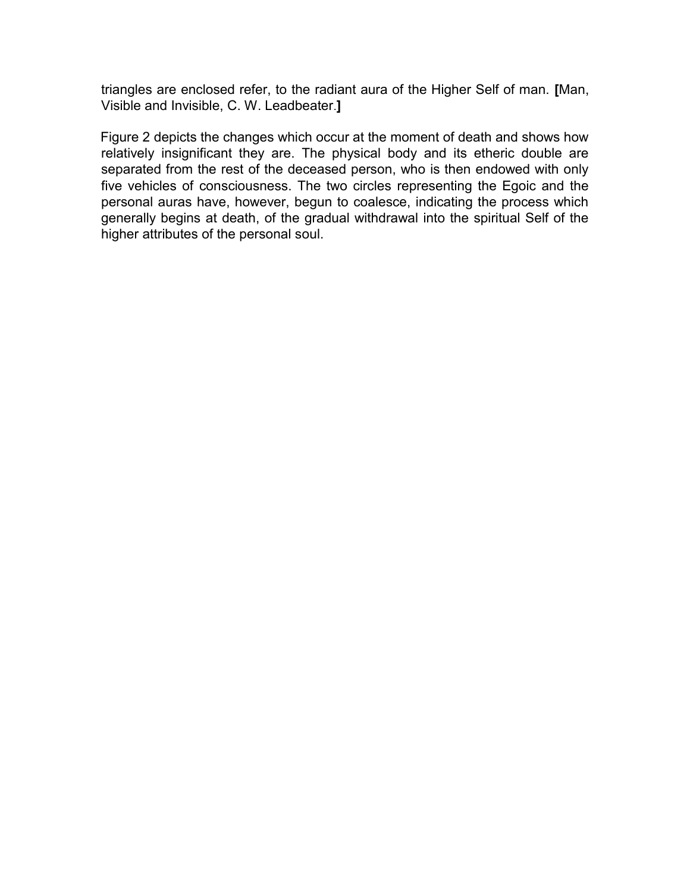triangles are enclosed refer, to the radiant aura of the Higher Self of man. **[**Man, Visible and Invisible, C. W. Leadbeater.**]**

Figure 2 depicts the changes which occur at the moment of death and shows how relatively insignificant they are. The physical body and its etheric double are separated from the rest of the deceased person, who is then endowed with only five vehicles of consciousness. The two circles representing the Egoic and the personal auras have, however, begun to coalesce, indicating the process which generally begins at death, of the gradual withdrawal into the spiritual Self of the higher attributes of the personal soul.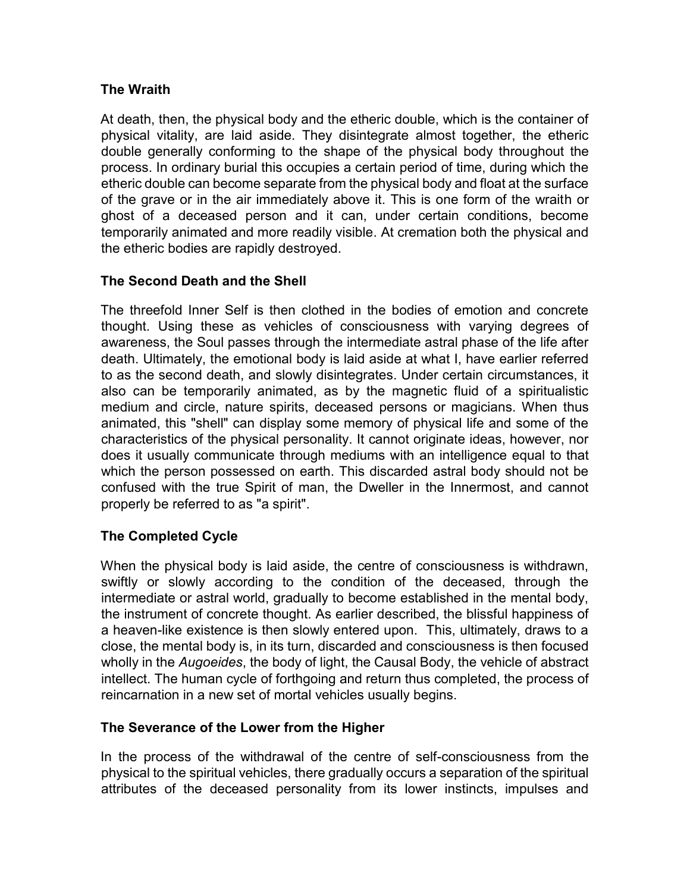#### **The Wraith**

At death, then, the physical body and the etheric double, which is the container of physical vitality, are laid aside. They disintegrate almost together, the etheric double generally conforming to the shape of the physical body throughout the process. In ordinary burial this occupies a certain period of time, during which the etheric double can become separate from the physical body and float at the surface of the grave or in the air immediately above it. This is one form of the wraith or ghost of a deceased person and it can, under certain conditions, become temporarily animated and more readily visible. At cremation both the physical and the etheric bodies are rapidly destroyed.

### **The Second Death and the Shell**

The threefold Inner Self is then clothed in the bodies of emotion and concrete thought. Using these as vehicles of consciousness with varying degrees of awareness, the Soul passes through the intermediate astral phase of the life after death. Ultimately, the emotional body is laid aside at what I, have earlier referred to as the second death, and slowly disintegrates. Under certain circumstances, it also can be temporarily animated, as by the magnetic fluid of a spiritualistic medium and circle, nature spirits, deceased persons or magicians. When thus animated, this "shell" can display some memory of physical life and some of the characteristics of the physical personality. It cannot originate ideas, however, nor does it usually communicate through mediums with an intelligence equal to that which the person possessed on earth. This discarded astral body should not be confused with the true Spirit of man, the Dweller in the Innermost, and cannot properly be referred to as "a spirit".

## **The Completed Cycle**

When the physical body is laid aside, the centre of consciousness is withdrawn, swiftly or slowly according to the condition of the deceased, through the intermediate or astral world, gradually to become established in the mental body, the instrument of concrete thought. As earlier described, the blissful happiness of a heaven-like existence is then slowly entered upon. This, ultimately, draws to a close, the mental body is, in its turn, discarded and consciousness is then focused wholly in the *Augoeides*, the body of light, the Causal Body, the vehicle of abstract intellect. The human cycle of forthgoing and return thus completed, the process of reincarnation in a new set of mortal vehicles usually begins.

#### **The Severance of the Lower from the Higher**

In the process of the withdrawal of the centre of self-consciousness from the physical to the spiritual vehicles, there gradually occurs a separation of the spiritual attributes of the deceased personality from its lower instincts, impulses and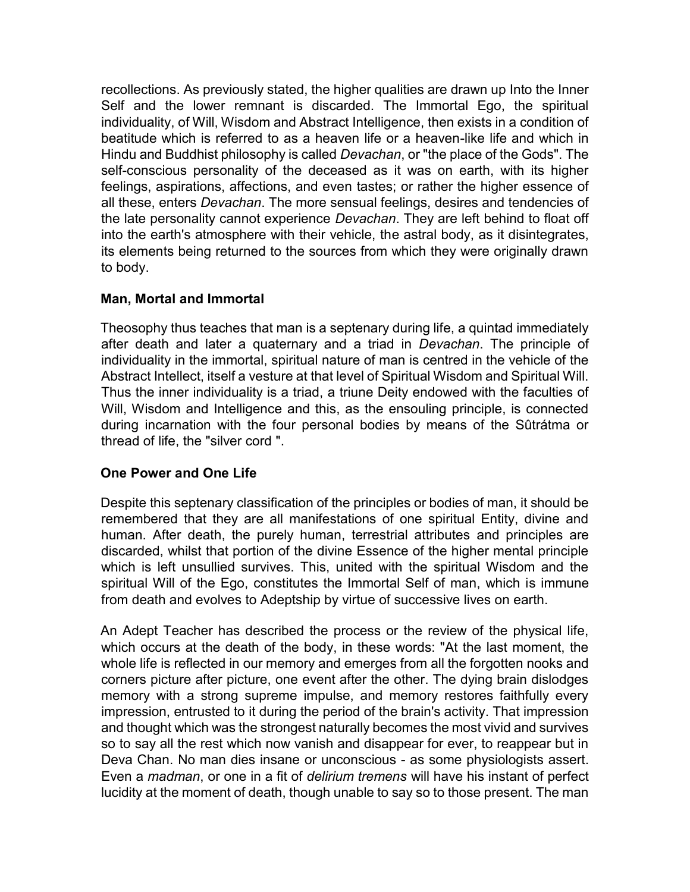recollections. As previously stated, the higher qualities are drawn up Into the Inner Self and the lower remnant is discarded. The Immortal Ego, the spiritual individuality, of Will, Wisdom and Abstract Intelligence, then exists in a condition of beatitude which is referred to as a heaven life or a heaven-like life and which in Hindu and Buddhist philosophy is called *Devachan*, or "the place of the Gods". The self-conscious personality of the deceased as it was on earth, with its higher feelings, aspirations, affections, and even tastes; or rather the higher essence of all these, enters *Devachan*. The more sensual feelings, desires and tendencies of the late personality cannot experience *Devachan*. They are left behind to float off into the earth's atmosphere with their vehicle, the astral body, as it disintegrates, its elements being returned to the sources from which they were originally drawn to body.

#### **Man, Mortal and Immortal**

Theosophy thus teaches that man is a septenary during life, a quintad immediately after death and later a quaternary and a triad in *Devachan*. The principle of individuality in the immortal, spiritual nature of man is centred in the vehicle of the Abstract Intellect, itself a vesture at that level of Spiritual Wisdom and Spiritual Will. Thus the inner individuality is a triad, a triune Deity endowed with the faculties of Will, Wisdom and Intelligence and this, as the ensouling principle, is connected during incarnation with the four personal bodies by means of the Sûtrátma or thread of life, the "silver cord ".

#### **One Power and One Life**

Despite this septenary classification of the principles or bodies of man, it should be remembered that they are all manifestations of one spiritual Entity, divine and human. After death, the purely human, terrestrial attributes and principles are discarded, whilst that portion of the divine Essence of the higher mental principle which is left unsullied survives. This, united with the spiritual Wisdom and the spiritual Will of the Ego, constitutes the Immortal Self of man, which is immune from death and evolves to Adeptship by virtue of successive lives on earth.

An Adept Teacher has described the process or the review of the physical life, which occurs at the death of the body, in these words: "At the last moment, the whole life is reflected in our memory and emerges from all the forgotten nooks and corners picture after picture, one event after the other. The dying brain dislodges memory with a strong supreme impulse, and memory restores faithfully every impression, entrusted to it during the period of the brain's activity. That impression and thought which was the strongest naturally becomes the most vivid and survives so to say all the rest which now vanish and disappear for ever, to reappear but in Deva Chan. No man dies insane or unconscious - as some physiologists assert. Even a *madman*, or one in a fit of *delirium tremens* will have his instant of perfect lucidity at the moment of death, though unable to say so to those present. The man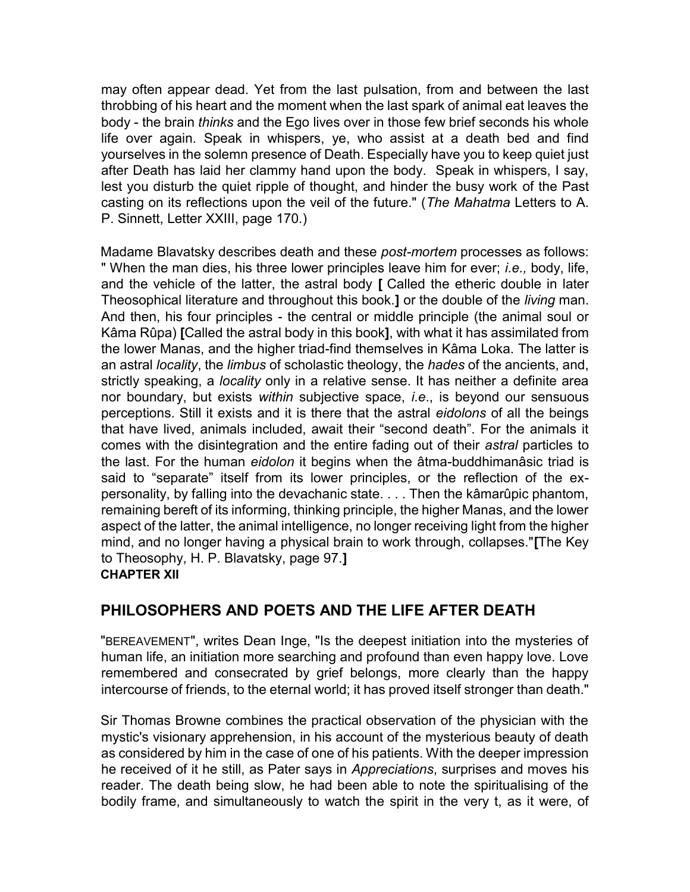may often appear dead. Yet from the last pulsation, from and between the last throbbing of his heart and the moment when the last spark of animal eat leaves the body - the brain *thinks* and the Ego lives over in those few brief seconds his whole life over again. Speak in whispers, ye, who assist at a death bed and find yourselves in the solemn presence of Death. Especially have you to keep quiet just after Death has laid her clammy hand upon the body. Speak in whispers, I say, lest you disturb the quiet ripple of thought, and hinder the busy work of the Past casting on its reflections upon the veil of the future." (*The Mahatma* Letters to A. P. Sinnett, Letter XXIII, page 170.)

Madame Blavatsky describes death and these *post-mortem* processes as follows: " When the man dies, his three lower principles leave him for ever; *i.e.,* body, life, and the vehicle of the latter, the astral body **[** Called the etheric double in later Theosophical literature and throughout this book.**]** or the double of the *living* man. And then, his four principles - the central or middle principle (the animal soul or Kâma Rûpa) **[**Called the astral body in this book**]**, with what it has assimilated from the lower Manas, and the higher triad-find themselves in Kâma Loka. The latter is an astral *locality*, the *limbus* of scholastic theology, the *hades* of the ancients, and, strictly speaking, a *locality* only in a relative sense. It has neither a definite area nor boundary, but exists *within* subjective space, *i.e*., is beyond our sensuous perceptions. Still it exists and it is there that the astral *eidolons* of all the beings that have lived, animals included, await their "second death". For the animals it comes with the disintegration and the entire fading out of their *astral* particles to the last. For the human *eidolon* it begins when the âtma-buddhimanâsic triad is said to "separate" itself from its lower principles, or the reflection of the expersonality, by falling into the devachanic state. . . . Then the kâmarûpic phantom, remaining bereft of its informing, thinking principle, the higher Manas, and the lower aspect of the latter, the animal intelligence, no longer receiving light from the higher mind, and no longer having a physical brain to work through, collapses."**[**The Key to Theosophy, H. P. Blavatsky, page 97.**]**

#### **CHAPTER XII**

## **PHILOSOPHERS AND POETS AND THE LIFE AFTER DEATH**

"BEREAVEMENT", writes Dean Inge, "Is the deepest initiation into the mysteries of human life, an initiation more searching and profound than even happy love. Love remembered and consecrated by grief belongs, more clearly than the happy intercourse of friends, to the eternal world; it has proved itself stronger than death."

Sir Thomas Browne combines the practical observation of the physician with the mystic's visionary apprehension, in his account of the mysterious beauty of death as considered by him in the case of one of his patients. With the deeper impression he received of it he still, as Pater says in *Appreciations*, surprises and moves his reader. The death being slow, he had been able to note the spiritualising of the bodily frame, and simultaneously to watch the spirit in the very t, as it were, of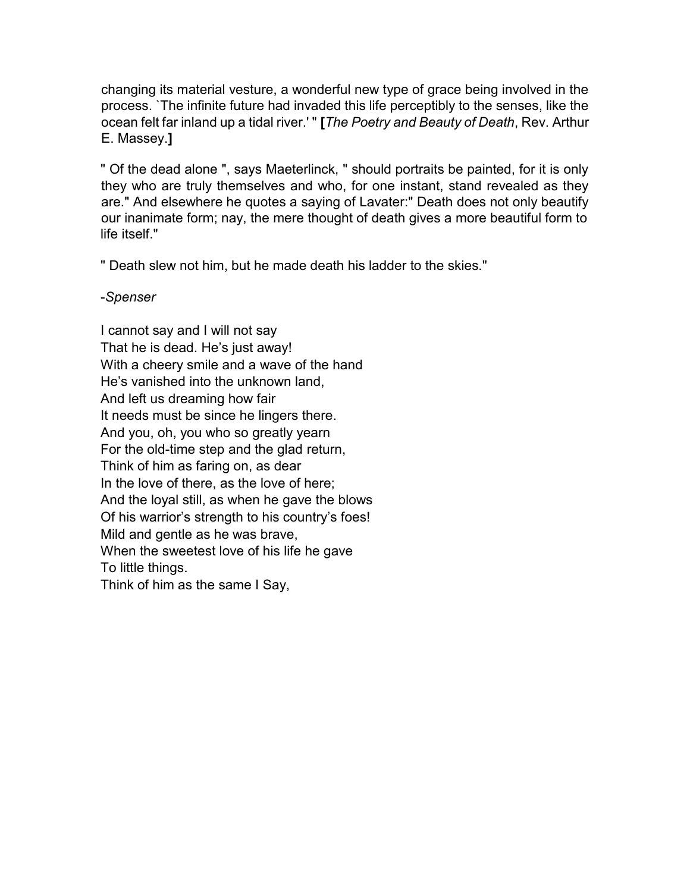changing its material vesture, a wonderful new type of grace being involved in the process. `The infinite future had invaded this life perceptibly to the senses, like the ocean felt far inland up a tidal river.' " **[***The Poetry and Beauty of Death*, Rev. Arthur E. Massey.**]**

" Of the dead alone ", says Maeterlinck, " should portraits be painted, for it is only they who are truly themselves and who, for one instant, stand revealed as they are." And elsewhere he quotes a saying of Lavater:" Death does not only beautify our inanimate form; nay, the mere thought of death gives a more beautiful form to life itself."

" Death slew not him, but he made death his ladder to the skies."

#### -*Spenser*

I cannot say and I will not say That he is dead. He's just away! With a cheery smile and a wave of the hand He's vanished into the unknown land, And left us dreaming how fair It needs must be since he lingers there. And you, oh, you who so greatly yearn For the old-time step and the glad return, Think of him as faring on, as dear In the love of there, as the love of here; And the loyal still, as when he gave the blows Of his warrior's strength to his country's foes! Mild and gentle as he was brave, When the sweetest love of his life he gave To little things. Think of him as the same I Say,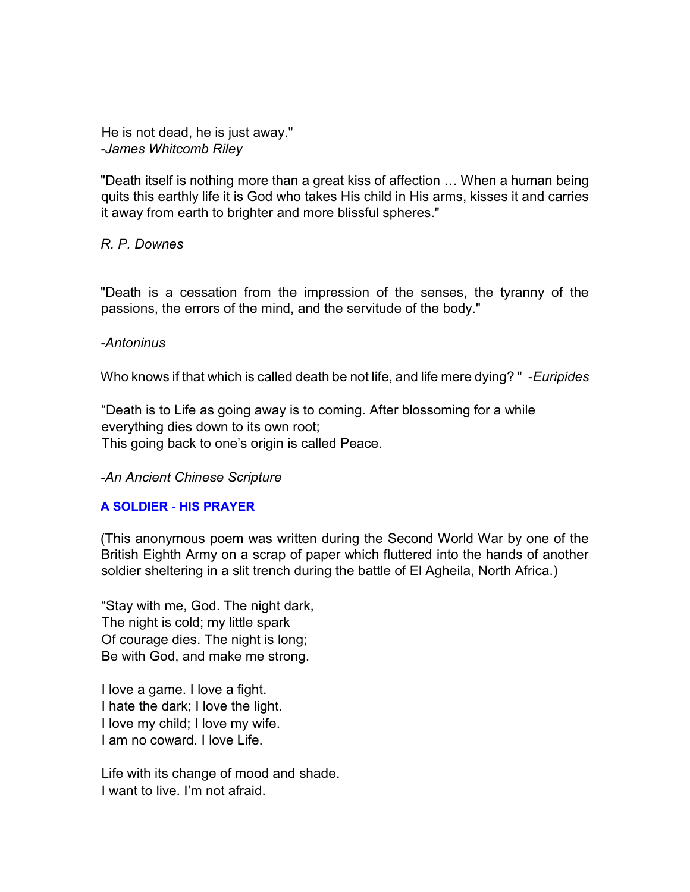He is not dead, he is just away." *-James Whitcomb Riley*

"Death itself is nothing more than a great kiss of affection … When a human being quits this earthly life it is God who takes His child in His arms, kisses it and carries it away from earth to brighter and more blissful spheres."

#### *R. P. Downes*

"Death is a cessation from the impression of the senses, the tyranny of the passions, the errors of the mind, and the servitude of the body."

#### *-Antoninus*

Who knows if that which is called death be not life, and life mere dying? " -*Euripides*

"Death is to Life as going away is to coming. After blossoming for a while everything dies down to its own root; This going back to one's origin is called Peace.

#### *-An Ancient Chinese Scripture*

#### **A SOLDIER - HIS PRAYER**

(This anonymous poem was written during the Second World War by one of the British Eighth Army on a scrap of paper which fluttered into the hands of another soldier sheltering in a slit trench during the battle of El Agheila, North Africa.)

"Stay with me, God. The night dark, The night is cold; my little spark Of courage dies. The night is long; Be with God, and make me strong.

I love a game. I love a fight. I hate the dark; I love the light. I love my child; I love my wife. I am no coward. I love Life.

Life with its change of mood and shade. I want to live. I'm not afraid.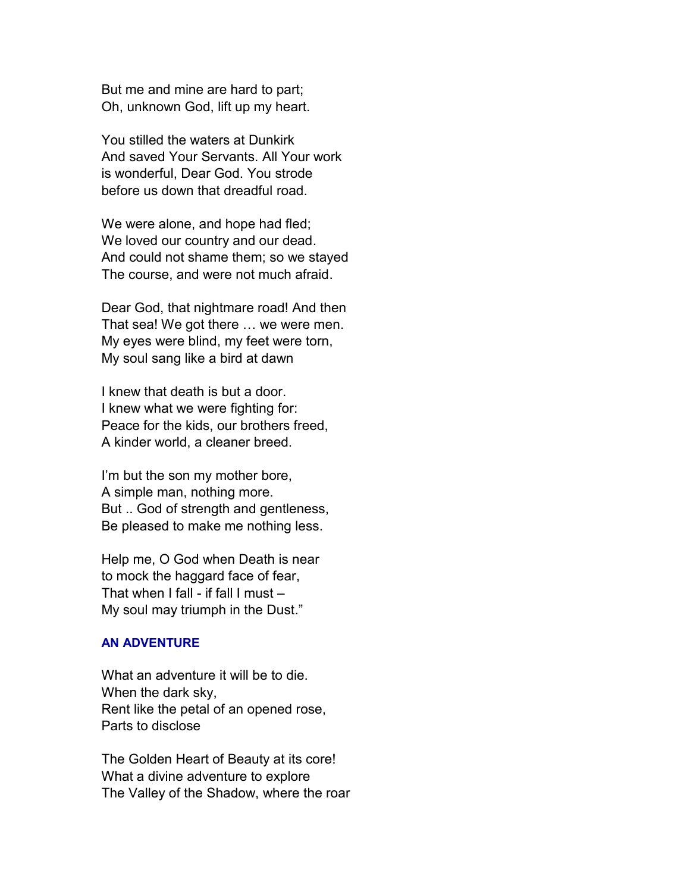But me and mine are hard to part; Oh, unknown God, lift up my heart.

You stilled the waters at Dunkirk And saved Your Servants. All Your work is wonderful, Dear God. You strode before us down that dreadful road.

We were alone, and hope had fled; We loved our country and our dead. And could not shame them; so we stayed The course, and were not much afraid.

Dear God, that nightmare road! And then That sea! We got there … we were men. My eyes were blind, my feet were torn, My soul sang like a bird at dawn

I knew that death is but a door. I knew what we were fighting for: Peace for the kids, our brothers freed, A kinder world, a cleaner breed.

I'm but the son my mother bore, A simple man, nothing more. But .. God of strength and gentleness, Be pleased to make me nothing less.

Help me, O God when Death is near to mock the haggard face of fear, That when  $I$  fall - if fall  $I$  must  $-$ My soul may triumph in the Dust."

#### **AN ADVENTURE**

What an adventure it will be to die. When the dark sky, Rent like the petal of an opened rose, Parts to disclose

The Golden Heart of Beauty at its core! What a divine adventure to explore The Valley of the Shadow, where the roar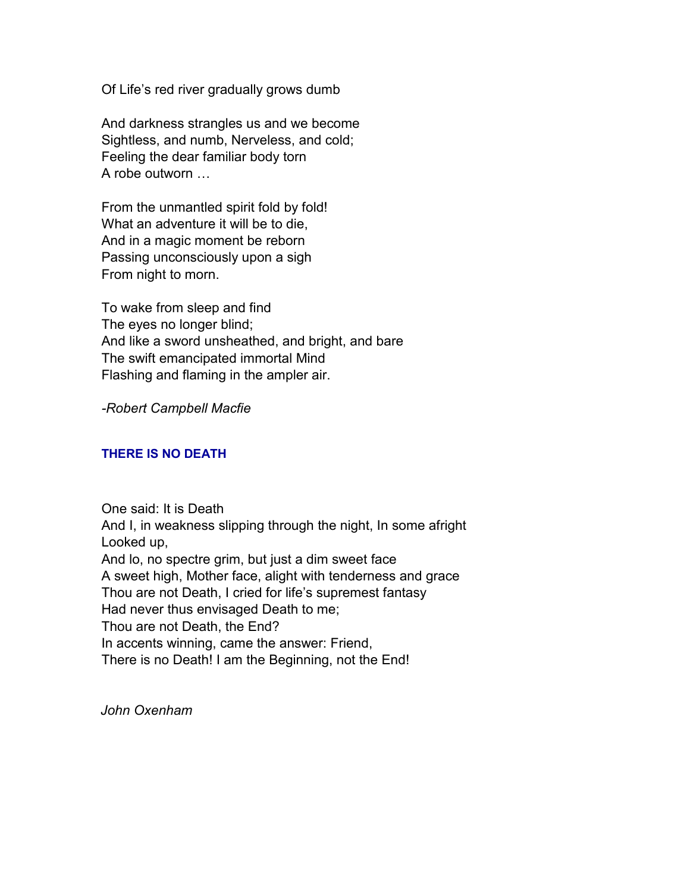Of Life's red river gradually grows dumb

And darkness strangles us and we become Sightless, and numb, Nerveless, and cold; Feeling the dear familiar body torn A robe outworn …

From the unmantled spirit fold by fold! What an adventure it will be to die, And in a magic moment be reborn Passing unconsciously upon a sigh From night to morn.

To wake from sleep and find The eyes no longer blind; And like a sword unsheathed, and bright, and bare The swift emancipated immortal Mind Flashing and flaming in the ampler air.

*-Robert Campbell Macfie*

#### **THERE IS NO DEATH**

One said: It is Death And I, in weakness slipping through the night, In some afright Looked up, And lo, no spectre grim, but just a dim sweet face A sweet high, Mother face, alight with tenderness and grace Thou are not Death, I cried for life's supremest fantasy Had never thus envisaged Death to me; Thou are not Death, the End? In accents winning, came the answer: Friend, There is no Death! I am the Beginning, not the End!

*John Oxenham*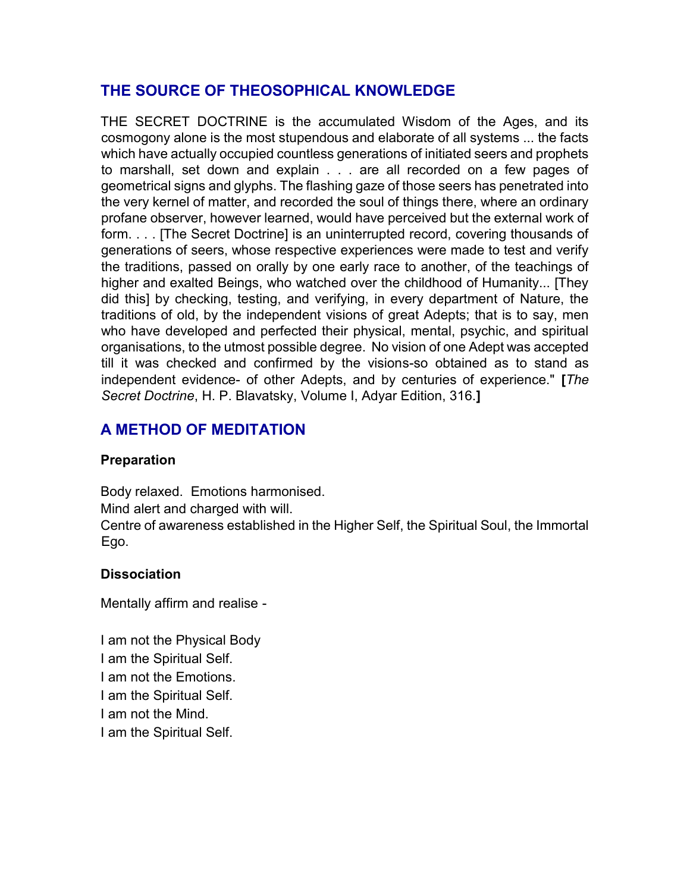## **THE SOURCE OF THEOSOPHICAL KNOWLEDGE**

THE SECRET DOCTRINE is the accumulated Wisdom of the Ages, and its cosmogony alone is the most stupendous and elaborate of all systems ... the facts which have actually occupied countless generations of initiated seers and prophets to marshall, set down and explain . . . are all recorded on a few pages of geometrical signs and glyphs. The flashing gaze of those seers has penetrated into the very kernel of matter, and recorded the soul of things there, where an ordinary profane observer, however learned, would have perceived but the external work of form. . . . [The Secret Doctrine] is an uninterrupted record, covering thousands of generations of seers, whose respective experiences were made to test and verify the traditions, passed on orally by one early race to another, of the teachings of higher and exalted Beings, who watched over the childhood of Humanity... [They did this] by checking, testing, and verifying, in every department of Nature, the traditions of old, by the independent visions of great Adepts; that is to say, men who have developed and perfected their physical, mental, psychic, and spiritual organisations, to the utmost possible degree. No vision of one Adept was accepted till it was checked and confirmed by the visions-so obtained as to stand as independent evidence- of other Adepts, and by centuries of experience." **[***The Secret Doctrine*, H. P. Blavatsky, Volume I, Adyar Edition, 316.**]**

## **A METHOD OF MEDITATION**

#### **Preparation**

Body relaxed. Emotions harmonised. Mind alert and charged with will. Centre of awareness established in the Higher Self, the Spiritual Soul, the Immortal Ego.

#### **Dissociation**

Mentally affirm and realise -

I am not the Physical Body I am the Spiritual Self. I am not the Emotions. I am the Spiritual Self. I am not the Mind. I am the Spiritual Self.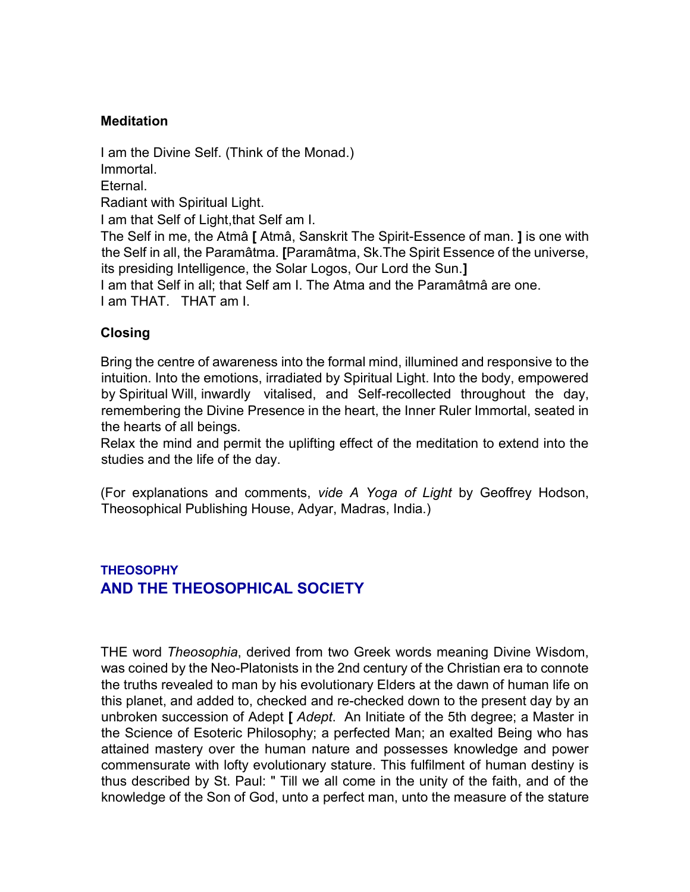#### **Meditation**

I am the Divine Self. (Think of the Monad.) Immortal. **Eternal** Radiant with Spiritual Light. I am that Self of Light,that Self am I. The Self in me, the Atmâ **[** Atmâ, Sanskrit The Spirit-Essence of man. **]** is one with the Self in all, the Paramâtma. **[**Paramâtma, Sk.The Spirit Essence of the universe, its presiding Intelligence, the Solar Logos, Our Lord the Sun.**]** I am that Self in all; that Self am I. The Atma and the Paramâtmâ are one. I am THAT. THAT am I.

#### **Closing**

Bring the centre of awareness into the formal mind, illumined and responsive to the intuition. Into the emotions, irradiated by Spiritual Light. Into the body, empowered by Spiritual Will, inwardly vitalised, and Self-recollected throughout the day, remembering the Divine Presence in the heart, the Inner Ruler Immortal, seated in the hearts of all beings.

Relax the mind and permit the uplifting effect of the meditation to extend into the studies and the life of the day.

(For explanations and comments, *vide A Yoga of Light* by Geoffrey Hodson, Theosophical Publishing House, Adyar, Madras, India.)

#### **THEOSOPHY AND THE THEOSOPHICAL SOCIETY**

THE word *Theosophia*, derived from two Greek words meaning Divine Wisdom, was coined by the Neo-Platonists in the 2nd century of the Christian era to connote the truths revealed to man by his evolutionary Elders at the dawn of human life on this planet, and added to, checked and re-checked down to the present day by an unbroken succession of Adept **[** *Adept*. An Initiate of the 5th degree; a Master in the Science of Esoteric Philosophy; a perfected Man; an exalted Being who has attained mastery over the human nature and possesses knowledge and power commensurate with lofty evolutionary stature. This fulfilment of human destiny is thus described by St. Paul: " Till we all come in the unity of the faith, and of the knowledge of the Son of God, unto a perfect man, unto the measure of the stature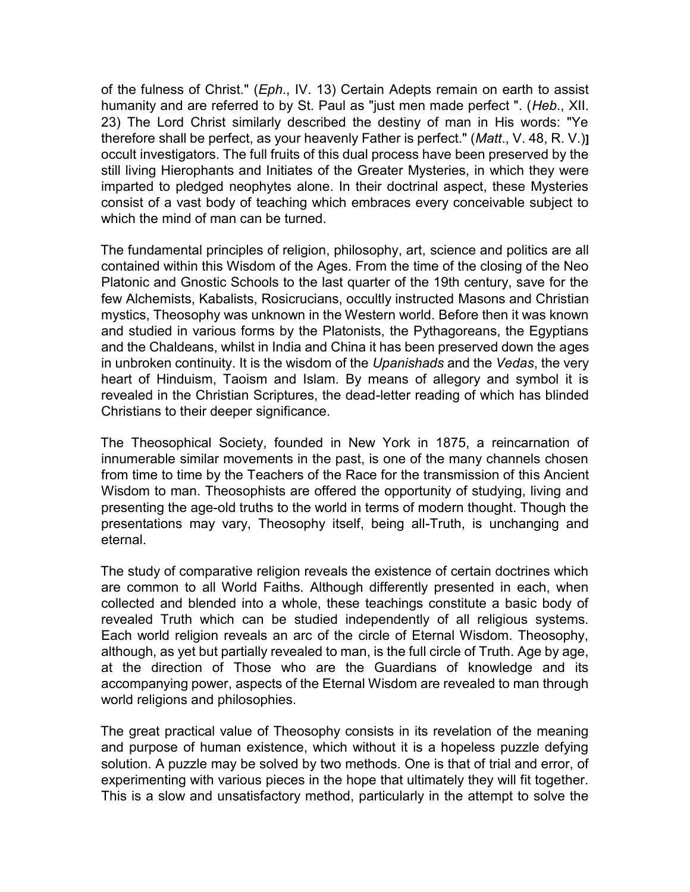of the fulness of Christ." (*Eph*., IV. 13) Certain Adepts remain on earth to assist humanity and are referred to by St. Paul as "just men made perfect ". (*Heb*., XII. 23) The Lord Christ similarly described the destiny of man in His words: "Ye therefore shall be perfect, as your heavenly Father is perfect." (*Matt*., V. 48, R. V.)**]** occult investigators. The full fruits of this dual process have been preserved by the still living Hierophants and Initiates of the Greater Mysteries, in which they were imparted to pledged neophytes alone. In their doctrinal aspect, these Mysteries consist of a vast body of teaching which embraces every conceivable subject to which the mind of man can be turned.

The fundamental principles of religion, philosophy, art, science and politics are all contained within this Wisdom of the Ages. From the time of the closing of the Neo Platonic and Gnostic Schools to the last quarter of the 19th century, save for the few Alchemists, Kabalists, Rosicrucians, occultly instructed Masons and Christian mystics, Theosophy was unknown in the Western world. Before then it was known and studied in various forms by the Platonists, the Pythagoreans, the Egyptians and the Chaldeans, whilst in India and China it has been preserved down the ages in unbroken continuity. It is the wisdom of the *Upanishads* and the *Vedas*, the very heart of Hinduism, Taoism and Islam. By means of allegory and symbol it is revealed in the Christian Scriptures, the dead-letter reading of which has blinded Christians to their deeper significance.

The Theosophical Society, founded in New York in 1875, a reincarnation of innumerable similar movements in the past, is one of the many channels chosen from time to time by the Teachers of the Race for the transmission of this Ancient Wisdom to man. Theosophists are offered the opportunity of studying, living and presenting the age-old truths to the world in terms of modern thought. Though the presentations may vary, Theosophy itself, being all-Truth, is unchanging and eternal.

The study of comparative religion reveals the existence of certain doctrines which are common to all World Faiths. Although differently presented in each, when collected and blended into a whole, these teachings constitute a basic body of revealed Truth which can be studied independently of all religious systems. Each world religion reveals an arc of the circle of Eternal Wisdom. Theosophy, although, as yet but partially revealed to man, is the full circle of Truth. Age by age, at the direction of Those who are the Guardians of knowledge and its accompanying power, aspects of the Eternal Wisdom are revealed to man through world religions and philosophies.

The great practical value of Theosophy consists in its revelation of the meaning and purpose of human existence, which without it is a hopeless puzzle defying solution. A puzzle may be solved by two methods. One is that of trial and error, of experimenting with various pieces in the hope that ultimately they will fit together. This is a slow and unsatisfactory method, particularly in the attempt to solve the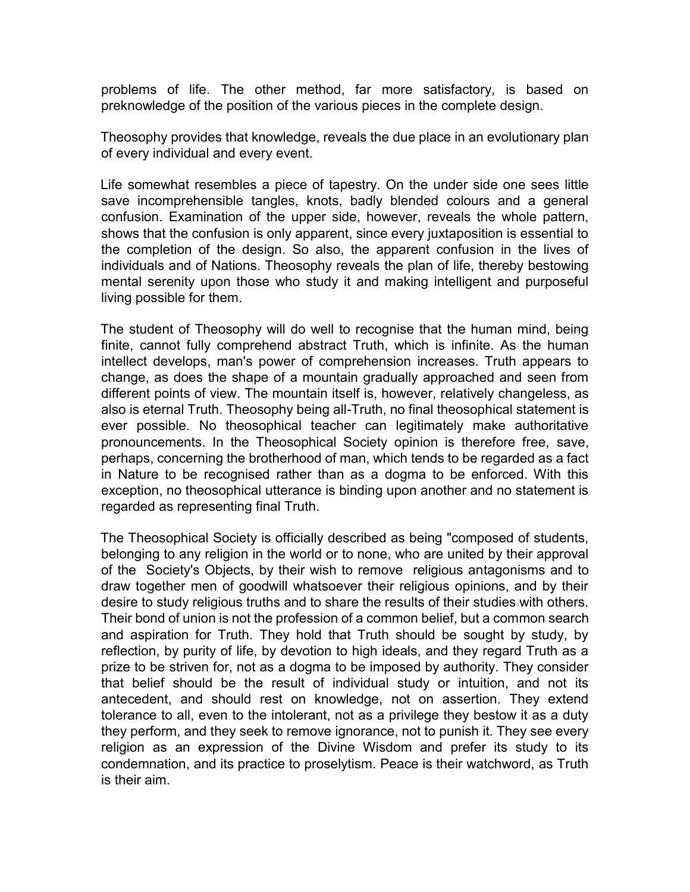problems of life. The other method, far more satisfactory, is based on preknowledge of the position of the various pieces in the complete design.

Theosophy provides that knowledge, reveals the due place in an evolutionary plan of every individual and every event.

Life somewhat resembles a piece of tapestry. On the under side one sees little save incomprehensible tangles, knots, badly blended colours and a general confusion. Examination of the upper side, however, reveals the whole pattern, shows that the confusion is only apparent, since every juxtaposition is essential to the completion of the design. So also, the apparent confusion in the lives of individuals and of Nations. Theosophy reveals the plan of life, thereby bestowing mental serenity upon those who study it and making intelligent and purposeful living possible for them.

The student of Theosophy will do well to recognise that the human mind, being finite, cannot fully comprehend abstract Truth, which is infinite. As the human intellect develops, man's power of comprehension increases. Truth appears to change, as does the shape of a mountain gradually approached and seen from different points of view. The mountain itself is, however, relatively changeless, as also is eternal Truth. Theosophy being all-Truth, no final theosophical statement is ever possible. No theosophical teacher can legitimately make authoritative pronouncements. In the Theosophical Society opinion is therefore free, save, perhaps, concerning the brotherhood of man, which tends to be regarded as a fact in Nature to be recognised rather than as a dogma to be enforced. With this exception, no theosophical utterance is binding upon another and no statement is regarded as representing final Truth.

The Theosophical Society is officially described as being "composed of students, belonging to any religion in the world or to none, who are united by their approval of the Society's Objects, by their wish to remove religious antagonisms and to draw together men of goodwill whatsoever their religious opinions, and by their desire to study religious truths and to share the results of their studies with others. Their bond of union is not the profession of a common belief, but a common search and aspiration for Truth. They hold that Truth should be sought by study, by reflection, by purity of life, by devotion to high ideals, and they regard Truth as a prize to be striven for, not as a dogma to be imposed by authority. They consider that belief should be the result of individual study or intuition, and not its antecedent, and should rest on knowledge, not on assertion. They extend tolerance to all, even to the intolerant, not as a privilege they bestow it as a duty they perform, and they seek to remove ignorance, not to punish it. They see every religion as an expression of the Divine Wisdom and prefer its study to its condemnation, and its practice to proselytism. Peace is their watchword, as Truth is their aim.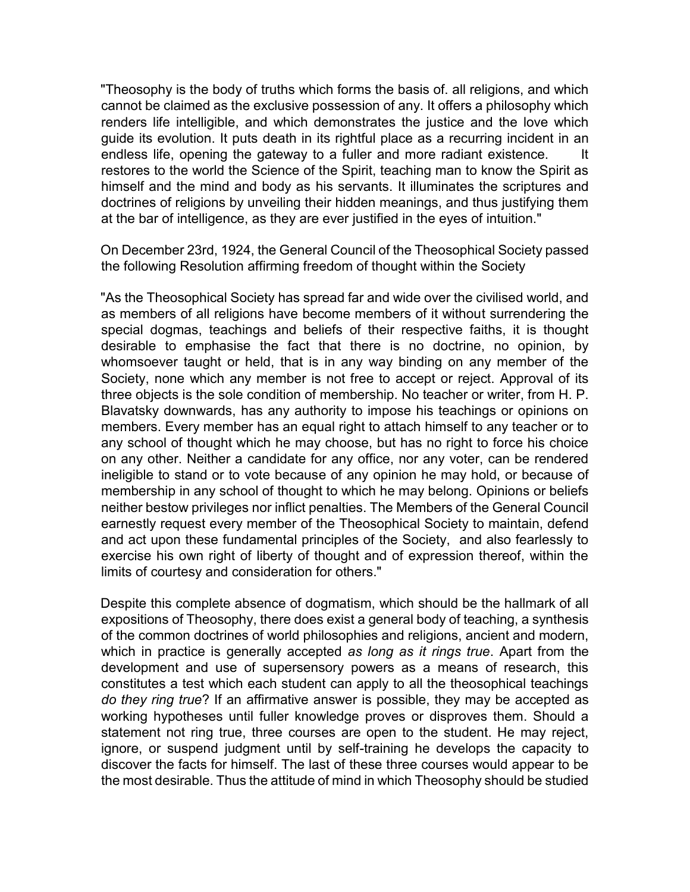"Theosophy is the body of truths which forms the basis of. all religions, and which cannot be claimed as the exclusive possession of any. It offers a philosophy which renders life intelligible, and which demonstrates the justice and the love which guide its evolution. It puts death in its rightful place as a recurring incident in an endless life, opening the gateway to a fuller and more radiant existence. It restores to the world the Science of the Spirit, teaching man to know the Spirit as himself and the mind and body as his servants. It illuminates the scriptures and doctrines of religions by unveiling their hidden meanings, and thus justifying them at the bar of intelligence, as they are ever justified in the eyes of intuition."

On December 23rd, 1924, the General Council of the Theosophical Society passed the following Resolution affirming freedom of thought within the Society

"As the Theosophical Society has spread far and wide over the civilised world, and as members of all religions have become members of it without surrendering the special dogmas, teachings and beliefs of their respective faiths, it is thought desirable to emphasise the fact that there is no doctrine, no opinion, by whomsoever taught or held, that is in any way binding on any member of the Society, none which any member is not free to accept or reject. Approval of its three objects is the sole condition of membership. No teacher or writer, from H. P. Blavatsky downwards, has any authority to impose his teachings or opinions on members. Every member has an equal right to attach himself to any teacher or to any school of thought which he may choose, but has no right to force his choice on any other. Neither a candidate for any office, nor any voter, can be rendered ineligible to stand or to vote because of any opinion he may hold, or because of membership in any school of thought to which he may belong. Opinions or beliefs neither bestow privileges nor inflict penalties. The Members of the General Council earnestly request every member of the Theosophical Society to maintain, defend and act upon these fundamental principles of the Society, and also fearlessly to exercise his own right of liberty of thought and of expression thereof, within the limits of courtesy and consideration for others."

Despite this complete absence of dogmatism, which should be the hallmark of all expositions of Theosophy, there does exist a general body of teaching, a synthesis of the common doctrines of world philosophies and religions, ancient and modern, which in practice is generally accepted *as long as it rings true*. Apart from the development and use of supersensory powers as a means of research, this constitutes a test which each student can apply to all the theosophical teachings *do they ring true*? If an affirmative answer is possible, they may be accepted as working hypotheses until fuller knowledge proves or disproves them. Should a statement not ring true, three courses are open to the student. He may reject, ignore, or suspend judgment until by self-training he develops the capacity to discover the facts for himself. The last of these three courses would appear to be the most desirable. Thus the attitude of mind in which Theosophy should be studied